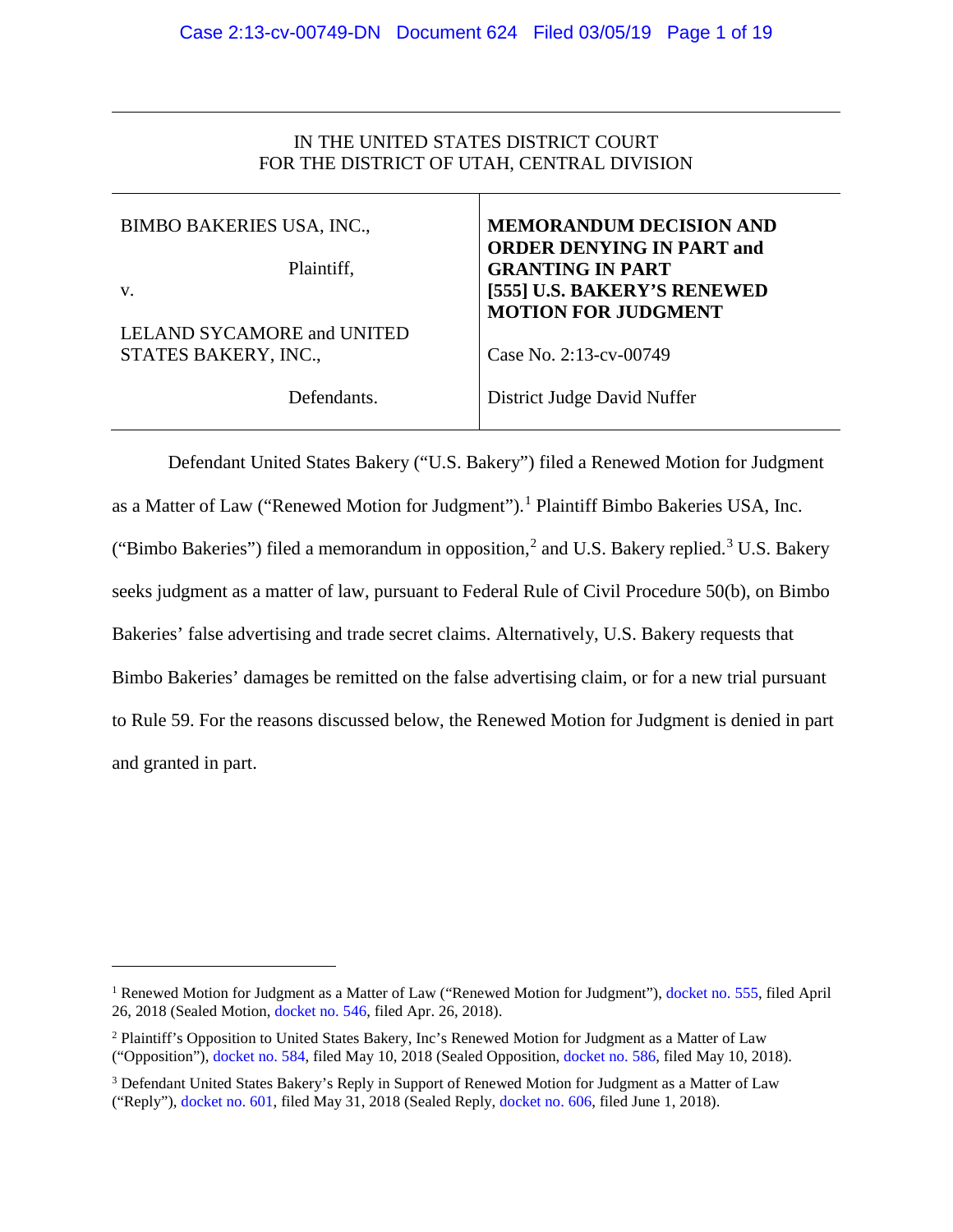## IN THE UNITED STATES DISTRICT COURT FOR THE DISTRICT OF UTAH, CENTRAL DIVISION

| <b>BIMBO BAKERIES USA, INC.,</b>                   | <b>MEMORANDUM DECISION AND</b><br><b>ORDER DENYING IN PART and</b> |
|----------------------------------------------------|--------------------------------------------------------------------|
| Plaintiff,                                         | <b>GRANTING IN PART</b>                                            |
| V.                                                 | [555] U.S. BAKERY'S RENEWED<br><b>MOTION FOR JUDGMENT</b>          |
| LELAND SYCAMORE and UNITED<br>STATES BAKERY, INC., | Case No. 2:13-cv-00749                                             |
| Defendants.                                        | District Judge David Nuffer                                        |

Defendant United States Bakery ("U.S. Bakery") filed a Renewed Motion for Judgment as a Matter of Law ("Renewed Motion for Judgment"). [1](#page-0-0) Plaintiff Bimbo Bakeries USA, Inc. ("Bimbo Bakeries") filed a memorandum in opposition,<sup>[2](#page-0-1)</sup> and U.S. Bakery replied.<sup>[3](#page-0-2)</sup> U.S. Bakery seeks judgment as a matter of law, pursuant to Federal Rule of Civil Procedure 50(b), on Bimbo Bakeries' false advertising and trade secret claims. Alternatively, U.S. Bakery requests that Bimbo Bakeries' damages be remitted on the false advertising claim, or for a new trial pursuant to Rule 59. For the reasons discussed below, the Renewed Motion for Judgment is denied in part and granted in part.

 $\overline{a}$ 

<span id="page-0-0"></span><sup>&</sup>lt;sup>1</sup> Renewed Motion for Judgment as a Matter of Law ("Renewed Motion for Judgment"), [docket no. 555,](https://ecf.utd.uscourts.gov/doc1/18314287998) filed April 26, 2018 (Sealed Motion, [docket no. 546,](https://ecf.utd.uscourts.gov/doc1/18314285881) filed Apr. 26, 2018).

<span id="page-0-1"></span><sup>2</sup> Plaintiff's Opposition to United States Bakery, Inc's Renewed Motion for Judgment as a Matter of Law ("Opposition"), [docket no. 584,](https://ecf.utd.uscourts.gov/doc1/18314302315) filed May 10, 2018 (Sealed Opposition, [docket no. 586,](https://ecf.utd.uscourts.gov/doc1/18314302334) filed May 10, 2018).

<span id="page-0-2"></span><sup>&</sup>lt;sup>3</sup> Defendant United States Bakery's Reply in Support of Renewed Motion for Judgment as a Matter of Law ("Reply"), [docket no. 601,](https://ecf.utd.uscourts.gov/doc1/18314321300) filed May 31, 2018 (Sealed Reply, [docket no. 606,](https://ecf.utd.uscourts.gov/doc1/18314321642) filed June 1, 2018).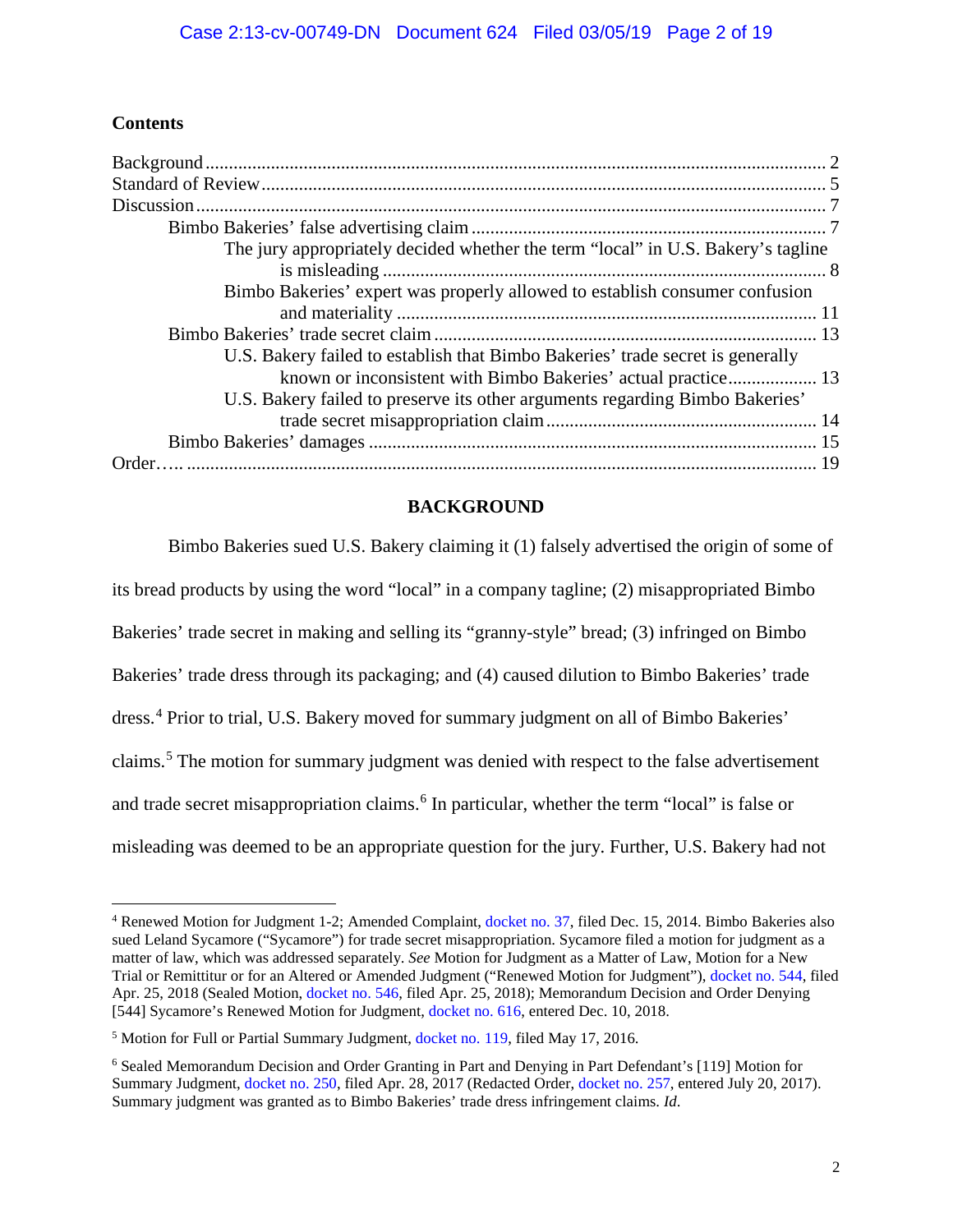# **Contents**

| The jury appropriately decided whether the term "local" in U.S. Bakery's tagline |  |
|----------------------------------------------------------------------------------|--|
|                                                                                  |  |
| Bimbo Bakeries' expert was properly allowed to establish consumer confusion      |  |
|                                                                                  |  |
|                                                                                  |  |
| U.S. Bakery failed to establish that Bimbo Bakeries' trade secret is generally   |  |
| known or inconsistent with Bimbo Bakeries' actual practice 13                    |  |
| U.S. Bakery failed to preserve its other arguments regarding Bimbo Bakeries'     |  |
|                                                                                  |  |
|                                                                                  |  |
|                                                                                  |  |

## **BACKGROUND**

<span id="page-1-0"></span>Bimbo Bakeries sued U.S. Bakery claiming it (1) falsely advertised the origin of some of its bread products by using the word "local" in a company tagline; (2) misappropriated Bimbo Bakeries' trade secret in making and selling its "granny-style" bread; (3) infringed on Bimbo Bakeries' trade dress through its packaging; and (4) caused dilution to Bimbo Bakeries' trade dress. [4](#page-1-1) Prior to trial, U.S. Bakery moved for summary judgment on all of Bimbo Bakeries' claims.[5](#page-1-2) The motion for summary judgment was denied with respect to the false advertisement and trade secret misappropriation claims.<sup>[6](#page-1-3)</sup> In particular, whether the term "local" is false or misleading was deemed to be an appropriate question for the jury. Further, U.S. Bakery had not

<span id="page-1-1"></span> <sup>4</sup> Renewed Motion for Judgment 1-2; Amended Complaint, [docket no. 37,](https://ecf.utd.uscourts.gov/doc1/18313219180) filed Dec. 15, 2014. Bimbo Bakeries also sued Leland Sycamore ("Sycamore") for trade secret misappropriation. Sycamore filed a motion for judgment as a matter of law, which was addressed separately. *See* Motion for Judgment as a Matter of Law, Motion for a New Trial or Remittitur or for an Altered or Amended Judgment ("Renewed Motion for Judgment"), [docket no. 544,](https://ecf.utd.uscourts.gov/doc1/18314285826) filed Apr. 25, 2018 (Sealed Motion, [docket no. 546,](https://ecf.utd.uscourts.gov/doc1/18314285881) filed Apr. 25, 2018); Memorandum Decision and Order Denying [544] Sycamore's Renewed Motion for Judgment, [docket no. 616,](https://ecf.utd.uscourts.gov/doc1/18314499301) entered Dec. 10, 2018.

<span id="page-1-2"></span><sup>5</sup> Motion for Full or Partial Summary Judgment, [docket no. 119,](https://ecf.utd.uscourts.gov/doc1/18313644649) filed May 17, 2016.

<span id="page-1-3"></span><sup>6</sup> Sealed Memorandum Decision and Order Granting in Part and Denying in Part Defendant's [119] Motion for Summary Judgment, [docket no. 250,](https://ecf.utd.uscourts.gov/doc1/18313956947) filed Apr. 28, 2017 (Redacted Order[, docket no. 257,](https://ecf.utd.uscourts.gov/doc1/18314035218) entered July 20, 2017). Summary judgment was granted as to Bimbo Bakeries' trade dress infringement claims. *Id*.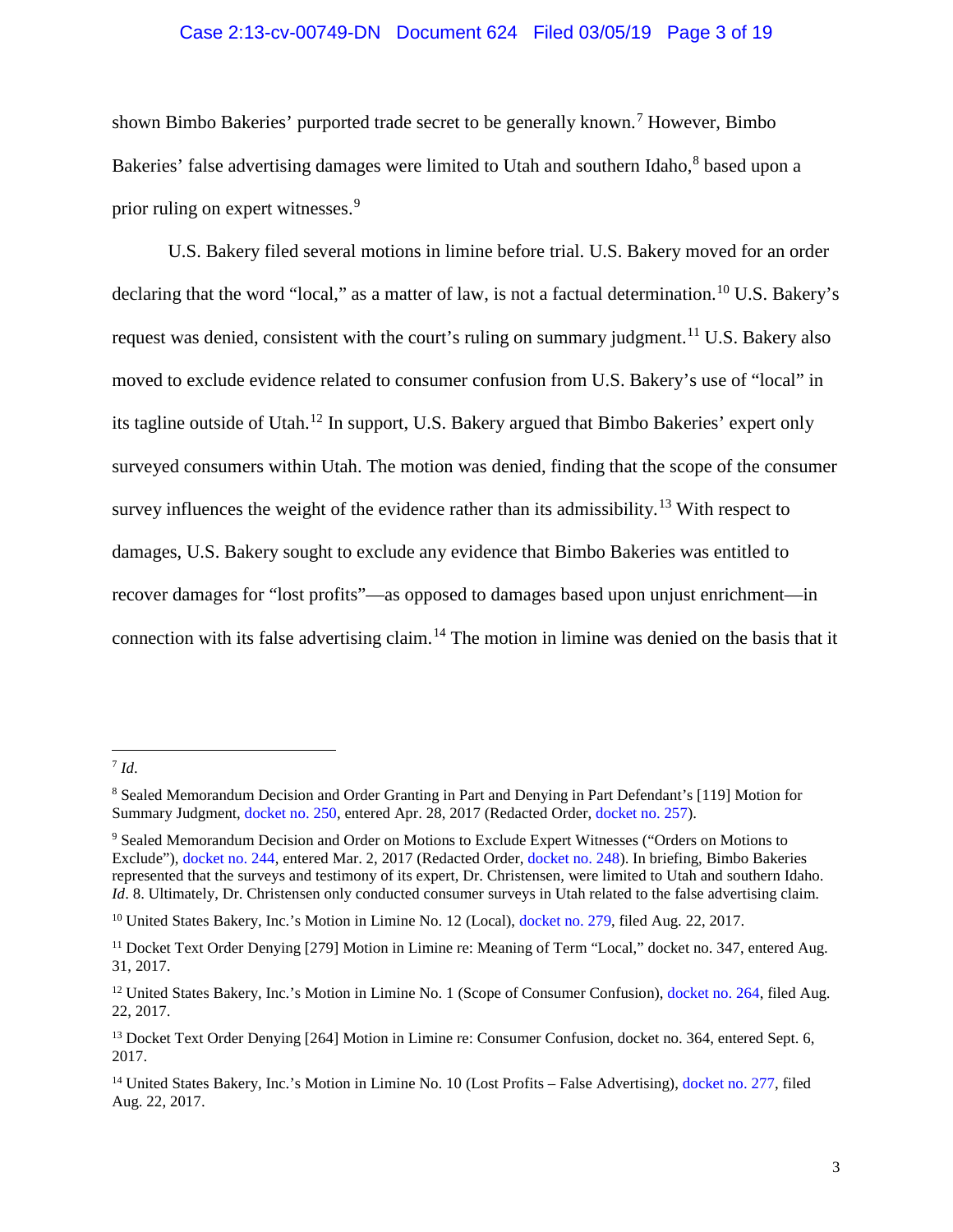#### Case 2:13-cv-00749-DN Document 624 Filed 03/05/19 Page 3 of 19

shown Bimbo Bakeries' purported trade secret to be generally known.<sup>[7](#page-2-0)</sup> However, Bimbo Bakeries' false advertising damages were limited to Utah and southern Idaho, <sup>[8](#page-2-1)</sup> based upon a prior ruling on expert witnesses.<sup>[9](#page-2-2)</sup>

U.S. Bakery filed several motions in limine before trial. U.S. Bakery moved for an order declaring that the word "local," as a matter of law, is not a factual determination.<sup>[10](#page-2-3)</sup> U.S. Bakery's request was denied, consistent with the court's ruling on summary judgment.<sup>[11](#page-2-4)</sup> U.S. Bakery also moved to exclude evidence related to consumer confusion from U.S. Bakery's use of "local" in its tagline outside of Utah.[12](#page-2-5) In support, U.S. Bakery argued that Bimbo Bakeries' expert only surveyed consumers within Utah. The motion was denied, finding that the scope of the consumer survey influences the weight of the evidence rather than its admissibility.<sup>[13](#page-2-6)</sup> With respect to damages, U.S. Bakery sought to exclude any evidence that Bimbo Bakeries was entitled to recover damages for "lost profits"—as opposed to damages based upon unjust enrichment—in connection with its false advertising claim.[14](#page-2-7) The motion in limine was denied on the basis that it

<span id="page-2-0"></span> <sup>7</sup> *Id*.

<span id="page-2-1"></span><sup>8</sup> Sealed Memorandum Decision and Order Granting in Part and Denying in Part Defendant's [119] Motion for Summary Judgment, [docket no. 250,](https://ecf.utd.uscourts.gov/doc1/18313956947) entered Apr. 28, 2017 (Redacted Order, [docket no. 257\)](https://ecf.utd.uscourts.gov/doc1/18314035218).

<span id="page-2-2"></span><sup>9</sup> Sealed Memorandum Decision and Order on Motions to Exclude Expert Witnesses ("Orders on Motions to Exclude"), [docket no. 244,](https://ecf.utd.uscourts.gov/doc1/18313903584) entered Mar. 2, 2017 (Redacted Order, [docket no. 248\)](https://ecf.utd.uscourts.gov/doc1/18313940545). In briefing, Bimbo Bakeries represented that the surveys and testimony of its expert, Dr. Christensen, were limited to Utah and southern Idaho. *Id.* 8. Ultimately, Dr. Christensen only conducted consumer surveys in Utah related to the false advertising claim.

<span id="page-2-3"></span><sup>&</sup>lt;sup>10</sup> United States Bakery, Inc.'s Motion in Limine No. 12 (Local)[, docket no. 279,](https://ecf.utd.uscourts.gov/doc1/18314063103) filed Aug. 22, 2017.

<span id="page-2-4"></span><sup>&</sup>lt;sup>11</sup> Docket Text Order Denying [279] Motion in Limine re: Meaning of Term "Local," docket no. 347, entered Aug. 31, 2017.

<span id="page-2-5"></span><sup>&</sup>lt;sup>12</sup> United States Bakery, Inc.'s Motion in Limine No. 1 (Scope of Consumer Confusion), [docket no. 264,](https://ecf.utd.uscourts.gov/doc1/18314063007) filed Aug. 22, 2017.

<span id="page-2-6"></span><sup>&</sup>lt;sup>13</sup> Docket Text Order Denying [264] Motion in Limine re: Consumer Confusion, docket no. 364, entered Sept. 6, 2017.

<span id="page-2-7"></span><sup>&</sup>lt;sup>14</sup> United States Bakery, Inc.'s Motion in Limine No. 10 (Lost Profits – False Advertising)[, docket no. 277,](https://ecf.utd.uscourts.gov/doc1/18314063097) filed Aug. 22, 2017.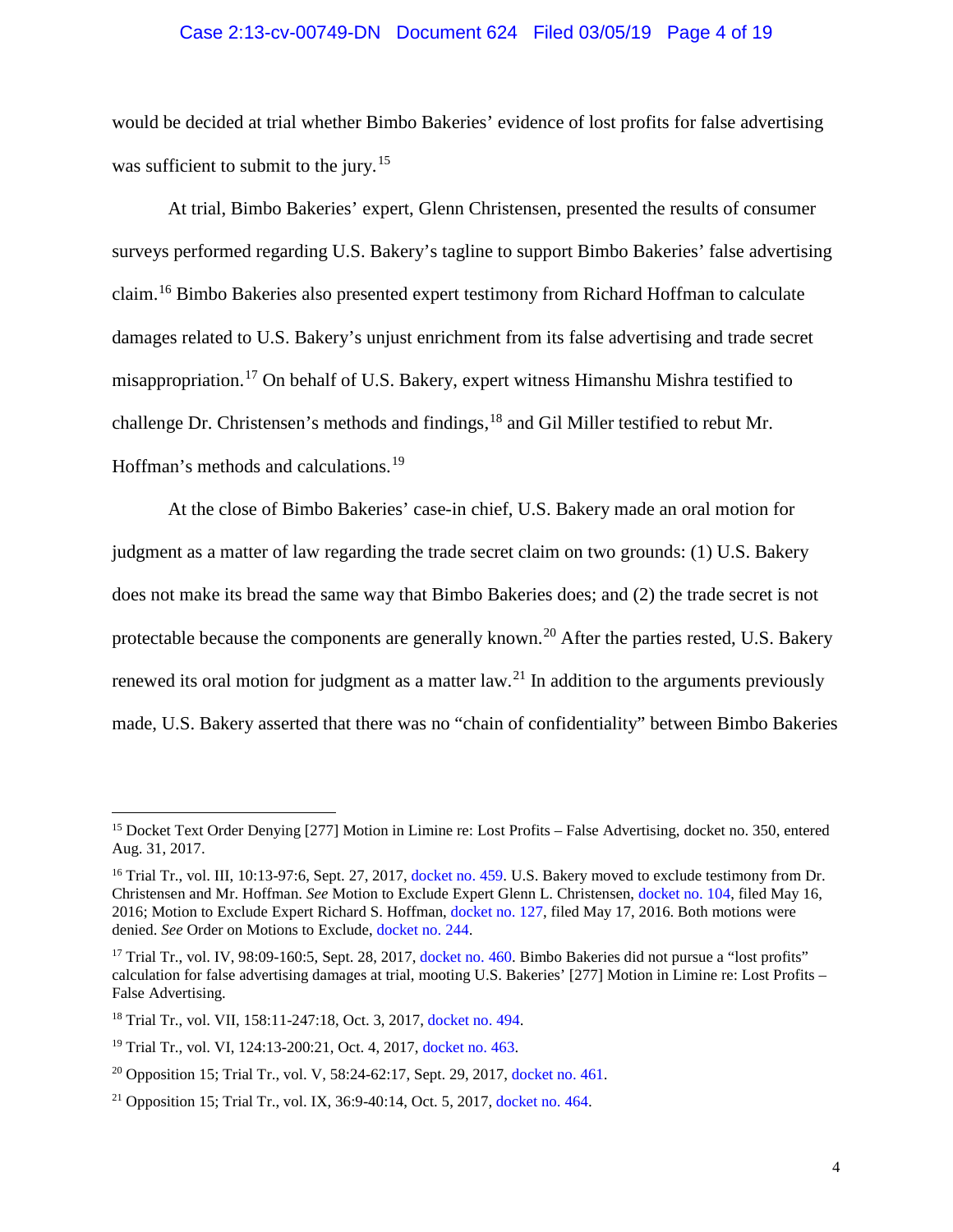#### Case 2:13-cv-00749-DN Document 624 Filed 03/05/19 Page 4 of 19

would be decided at trial whether Bimbo Bakeries' evidence of lost profits for false advertising was sufficient to submit to the jury.<sup>[15](#page-3-0)</sup>

At trial, Bimbo Bakeries' expert, Glenn Christensen, presented the results of consumer surveys performed regarding U.S. Bakery's tagline to support Bimbo Bakeries' false advertising claim.[16](#page-3-1) Bimbo Bakeries also presented expert testimony from Richard Hoffman to calculate damages related to U.S. Bakery's unjust enrichment from its false advertising and trade secret misappropriation.<sup>[17](#page-3-2)</sup> On behalf of U.S. Bakery, expert witness Himanshu Mishra testified to challenge Dr. Christensen's methods and findings, <sup>[18](#page-3-3)</sup> and Gil Miller testified to rebut Mr. Hoffman's methods and calculations.<sup>[19](#page-3-4)</sup>

At the close of Bimbo Bakeries' case-in chief, U.S. Bakery made an oral motion for judgment as a matter of law regarding the trade secret claim on two grounds: (1) U.S. Bakery does not make its bread the same way that Bimbo Bakeries does; and (2) the trade secret is not protectable because the components are generally known.<sup>[20](#page-3-5)</sup> After the parties rested, U.S. Bakery renewed its oral motion for judgment as a matter law.<sup>[21](#page-3-6)</sup> In addition to the arguments previously made, U.S. Bakery asserted that there was no "chain of confidentiality" between Bimbo Bakeries

<span id="page-3-0"></span><sup>&</sup>lt;sup>15</sup> Docket Text Order Denying [277] Motion in Limine re: Lost Profits – False Advertising, docket no. 350, entered Aug. 31, 2017.

<span id="page-3-1"></span><sup>&</sup>lt;sup>16</sup> Trial Tr., vol. III, 10:13-97:6, Sept. 27, 2017, [docket no. 459.](https://ecf.utd.uscourts.gov/doc1/18314124494) U.S. Bakery moved to exclude testimony from Dr. Christensen and Mr. Hoffman. *See* Motion to Exclude Expert Glenn L. Christensen, [docket no. 104,](https://ecf.utd.uscourts.gov/doc1/18313643805) filed May 16, 2016; Motion to Exclude Expert Richard S. Hoffman[, docket no. 127,](https://ecf.utd.uscourts.gov/doc1/18313645553) filed May 17, 2016. Both motions were denied. *See* Order on Motions to Exclude, [docket no. 244.](https://ecf.utd.uscourts.gov/doc1/18313903584)

<span id="page-3-2"></span><sup>&</sup>lt;sup>17</sup> Trial Tr., vol. IV, 98:09-160:5, Sept. 28, 2017, [docket no. 460.](https://ecf.utd.uscourts.gov/doc1/18314124503) Bimbo Bakeries did not pursue a "lost profits" calculation for false advertising damages at trial, mooting U.S. Bakeries' [277] Motion in Limine re: Lost Profits – False Advertising.

<span id="page-3-3"></span><sup>18</sup> Trial Tr., vol. VII, 158:11-247:18, Oct. 3, 2017, [docket no. 494.](https://ecf.utd.uscourts.gov/doc1/18314150182)

<span id="page-3-4"></span><sup>19</sup> Trial Tr., vol. VI, 124:13-200:21, Oct. 4, 2017[, docket no. 463.](https://ecf.utd.uscourts.gov/doc1/18314124545)

<span id="page-3-5"></span><sup>&</sup>lt;sup>20</sup> Opposition 15; Trial Tr., vol. V, 58:24-62:17, Sept. 29, 2017, [docket no. 461.](https://ecf.utd.uscourts.gov/doc1/18314124521)

<span id="page-3-6"></span><sup>21</sup> Opposition 15; Trial Tr., vol. IX, 36:9-40:14, Oct. 5, 2017, [docket no. 464.](https://ecf.utd.uscourts.gov/doc1/18314124548)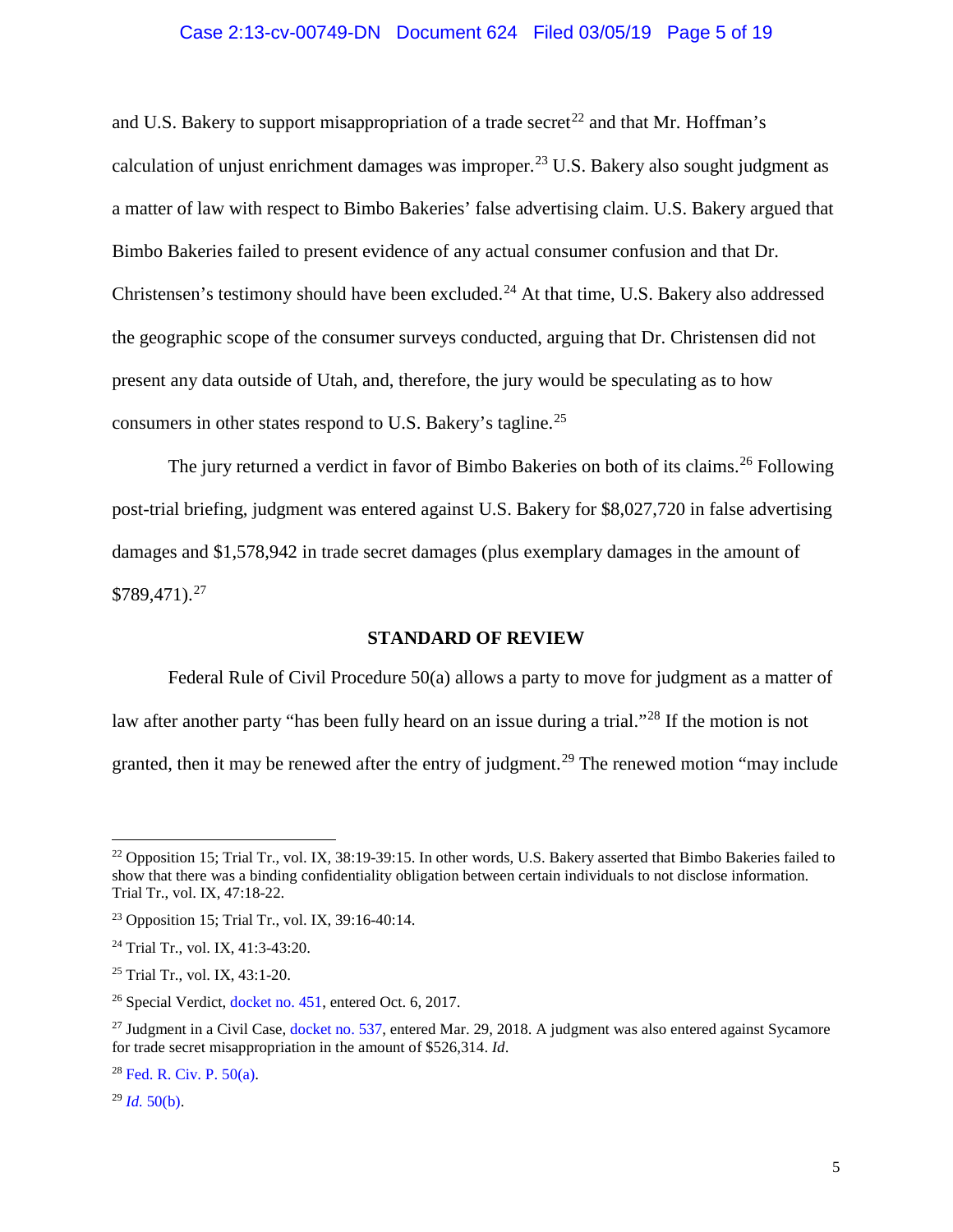## Case 2:13-cv-00749-DN Document 624 Filed 03/05/19 Page 5 of 19

and U.S. Bakery to support misappropriation of a trade secret<sup>[22](#page-4-1)</sup> and that Mr. Hoffman's calculation of unjust enrichment damages was improper. [23](#page-4-2) U.S. Bakery also sought judgment as a matter of law with respect to Bimbo Bakeries' false advertising claim. U.S. Bakery argued that Bimbo Bakeries failed to present evidence of any actual consumer confusion and that Dr. Christensen's testimony should have been excluded.<sup>[24](#page-4-3)</sup> At that time, U.S. Bakery also addressed the geographic scope of the consumer surveys conducted, arguing that Dr. Christensen did not present any data outside of Utah, and, therefore, the jury would be speculating as to how consumers in other states respond to U.S. Bakery's tagline.[25](#page-4-4)

The jury returned a verdict in favor of Bimbo Bakeries on both of its claims.<sup>[26](#page-4-5)</sup> Following post-trial briefing, judgment was entered against U.S. Bakery for \$8,027,720 in false advertising damages and \$1,578,942 in trade secret damages (plus exemplary damages in the amount of  $$789,471$ ).<sup>[27](#page-4-6)</sup>

### **STANDARD OF REVIEW**

<span id="page-4-0"></span>Federal Rule of Civil Procedure 50(a) allows a party to move for judgment as a matter of law after another party "has been fully heard on an issue during a trial."<sup>[28](#page-4-7)</sup> If the motion is not granted, then it may be renewed after the entry of judgment.<sup>[29](#page-4-8)</sup> The renewed motion "may include"

<span id="page-4-8"></span> $^{29}$  *Id.* [50\(b\).](https://www.westlaw.com/Document/ND49532A0B96611D8983DF34406B5929B/View/FullText.html?transitionType=Default&contextData=(sc.Default)&VR=3.0&RS=da3.0)

<span id="page-4-1"></span> $^{22}$  Opposition 15; Trial Tr., vol. IX, 38:19-39:15. In other words, U.S. Bakery asserted that Bimbo Bakeries failed to show that there was a binding confidentiality obligation between certain individuals to not disclose information. Trial Tr., vol. IX, 47:18-22.

<span id="page-4-2"></span><sup>23</sup> Opposition 15; Trial Tr., vol. IX, 39:16-40:14.

<span id="page-4-3"></span><sup>24</sup> Trial Tr., vol. IX, 41:3-43:20.

<span id="page-4-4"></span><sup>25</sup> Trial Tr., vol. IX, 43:1-20.

<span id="page-4-5"></span><sup>&</sup>lt;sup>26</sup> Special Verdict, [docket no. 451,](https://ecf.utd.uscourts.gov/doc1/18314109154) entered Oct. 6, 2017.

<span id="page-4-6"></span><sup>&</sup>lt;sup>27</sup> Judgment in a Civil Case, [docket no. 537,](https://ecf.utd.uscourts.gov/doc1/18314260967) entered Mar. 29, 2018. A judgment was also entered against Sycamore for trade secret misappropriation in the amount of \$526,314. *Id*.

<span id="page-4-7"></span> $28$  Fed. R. Civ. P.  $50(a)$ .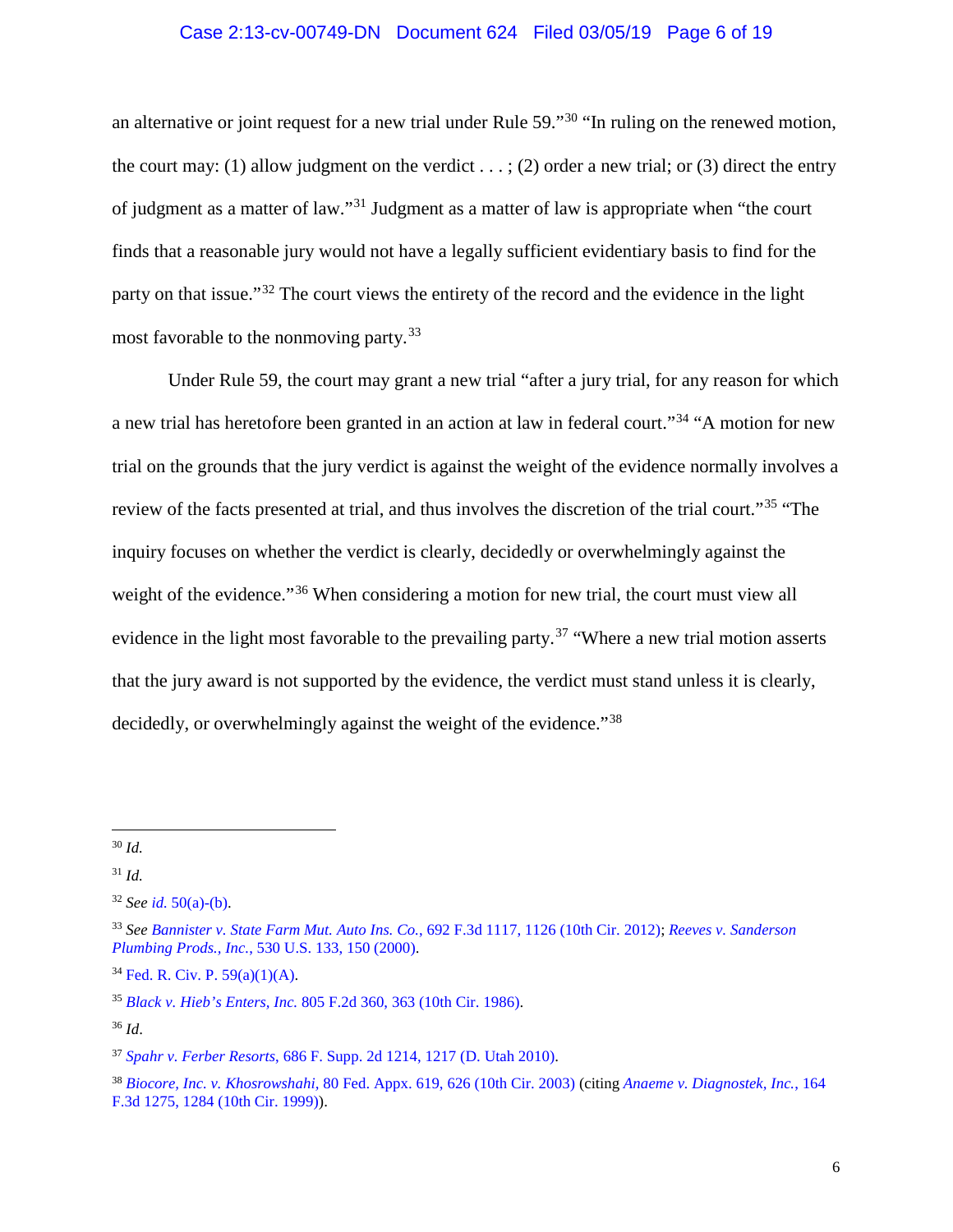## Case 2:13-cv-00749-DN Document 624 Filed 03/05/19 Page 6 of 19

an alternative or joint request for a new trial under Rule 59."[30](#page-5-0) "In ruling on the renewed motion, the court may: (1) allow judgment on the verdict . . . ; (2) order a new trial; or (3) direct the entry of judgment as a matter of law."[31](#page-5-1) Judgment as a matter of law is appropriate when "the court finds that a reasonable jury would not have a legally sufficient evidentiary basis to find for the party on that issue."[32](#page-5-2) The court views the entirety of the record and the evidence in the light most favorable to the nonmoving party.[33](#page-5-3)

Under Rule 59, the court may grant a new trial "after a jury trial, for any reason for which a new trial has heretofore been granted in an action at law in federal court."[34](#page-5-4) "A motion for new trial on the grounds that the jury verdict is against the weight of the evidence normally involves a review of the facts presented at trial, and thus involves the discretion of the trial court."<sup>[35](#page-5-5)</sup> "The inquiry focuses on whether the verdict is clearly, decidedly or overwhelmingly against the weight of the evidence."<sup>[36](#page-5-6)</sup> When considering a motion for new trial, the court must view all evidence in the light most favorable to the prevailing party.<sup>[37](#page-5-7)</sup> "Where a new trial motion asserts" that the jury award is not supported by the evidence, the verdict must stand unless it is clearly, decidedly, or overwhelmingly against the weight of the evidence."<sup>[38](#page-5-8)</sup>

<span id="page-5-4"></span><sup>34</sup> [Fed. R. Civ. P. 59\(a\)\(1\)\(A\).](https://www.westlaw.com/Document/NFD44B500B96A11D8983DF34406B5929B/View/FullText.html?transitionType=Default&contextData=(sc.Default)&VR=3.0&RS=da3.0)

<span id="page-5-6"></span><sup>36</sup> *Id*.

<span id="page-5-0"></span> <sup>30</sup> *Id.*

<span id="page-5-1"></span><sup>31</sup> *Id.*

<span id="page-5-2"></span><sup>32</sup> *See id.* [50\(a\)-\(b\).](https://www.westlaw.com/Document/ND49532A0B96611D8983DF34406B5929B/View/FullText.html?transitionType=Default&contextData=(sc.Default)&VR=3.0&RS=da3.0)

<span id="page-5-3"></span><sup>33</sup> *See [Bannister v. State Farm Mut. Auto Ins. Co.](https://www.westlaw.com/Document/Ie1f159b6f78411e18757b822cf994add/View/FullText.html?transitionType=Default&contextData=(sc.Default)&VR=3.0&RS=da3.0&fragmentIdentifier=co_pp_sp_506_1126)*, 692 F.3d 1117, 1126 (10th Cir. 2012); *[Reeves v. Sanderson](https://www.westlaw.com/Document/I6b315b2b9c2511d9bc61beebb95be672/View/FullText.html?transitionType=Default&contextData=(sc.Default)&VR=3.0&RS=da3.0&fragmentIdentifier=co_pp_sp_780_150)  Plumbing Prods., Inc.*[, 530 U.S. 133, 150 \(2000\).](https://www.westlaw.com/Document/I6b315b2b9c2511d9bc61beebb95be672/View/FullText.html?transitionType=Default&contextData=(sc.Default)&VR=3.0&RS=da3.0&fragmentIdentifier=co_pp_sp_780_150)

<span id="page-5-5"></span><sup>35</sup> *Black v. Hieb's Enters, Inc.* [805 F.2d 360, 363 \(10th Cir. 1986\).](https://www.westlaw.com/Document/I918c782194d411d9bc61beebb95be672/View/FullText.html?transitionType=Default&contextData=(sc.Default)&VR=3.0&RS=da3.0&fragmentIdentifier=co_pp_sp_350_363)

<span id="page-5-7"></span><sup>37</sup> *Spahr v. Ferber Resorts*[, 686 F. Supp. 2d 1214, 1217 \(D. Utah 2010\).](https://www.westlaw.com/Document/I30fefafa181911dfb08de1b7506ad85b/View/FullText.html?transitionType=Default&contextData=(sc.Default)&VR=3.0&RS=da3.0&fragmentIdentifier=co_pp_sp_4637_1217)

<span id="page-5-8"></span><sup>38</sup> *Biocore, Inc. v. Khosrowshahi,* [80 Fed. Appx. 619, 626 \(10th Cir. 2003\)](https://www.westlaw.com/Document/I754b04a389ef11d9ac45f46c5ea084a3/View/FullText.html?transitionType=Default&contextData=(sc.Default)&VR=3.0&RS=da3.0&fragmentIdentifier=co_pp_sp_6538_626) (citing *[Anaeme v. Diagnostek, Inc.](https://www.westlaw.com/Document/Ia0a86c17947f11d9bdd1cfdd544ca3a4/View/FullText.html?transitionType=Default&contextData=(sc.Default)&VR=3.0&RS=da3.0&fragmentIdentifier=co_pp_sp_506_1284)*, 164 [F.3d 1275, 1284 \(10th Cir. 1999\)\)](https://www.westlaw.com/Document/Ia0a86c17947f11d9bdd1cfdd544ca3a4/View/FullText.html?transitionType=Default&contextData=(sc.Default)&VR=3.0&RS=da3.0&fragmentIdentifier=co_pp_sp_506_1284).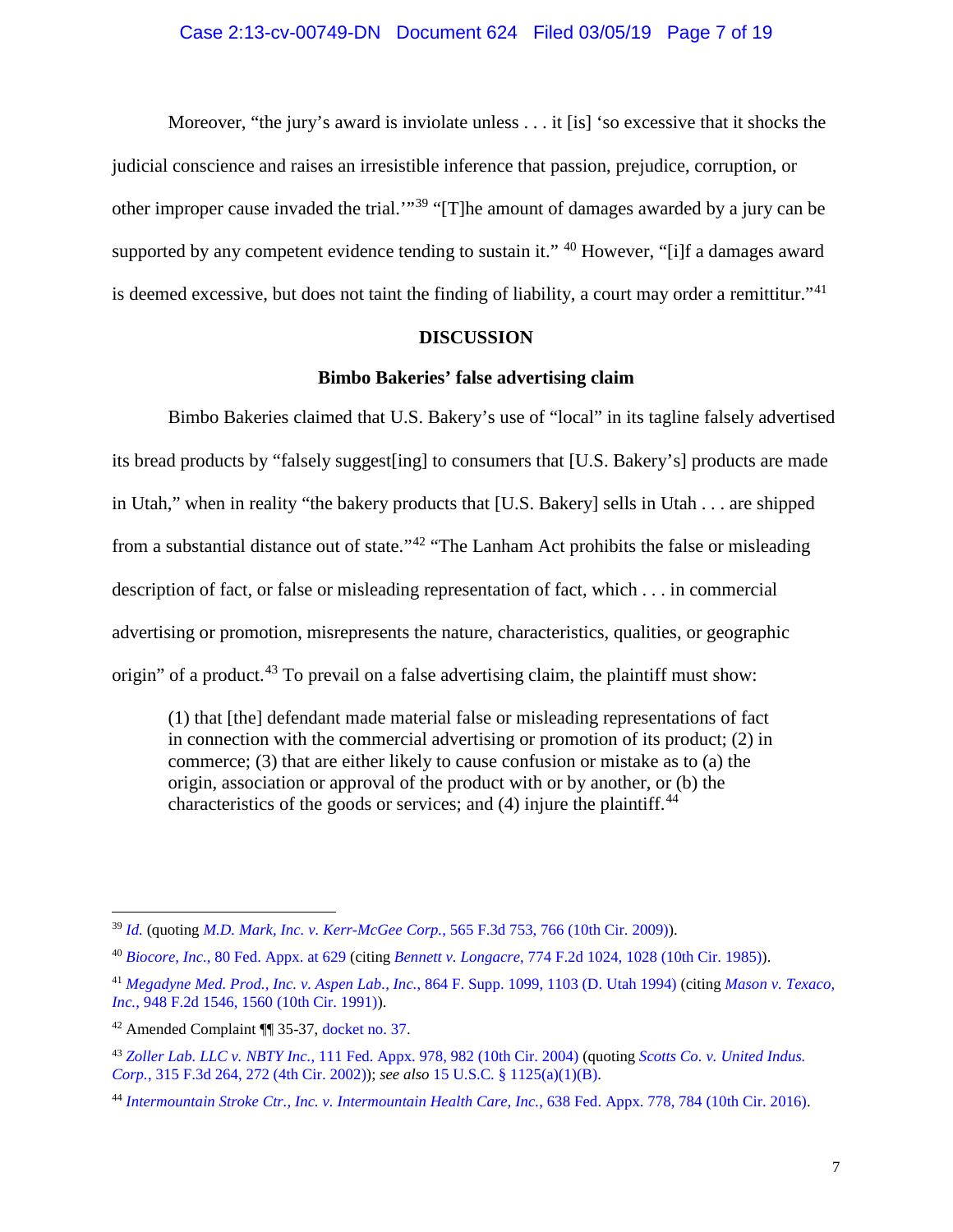Moreover, "the jury's award is inviolate unless . . . it [is] 'so excessive that it shocks the judicial conscience and raises an irresistible inference that passion, prejudice, corruption, or other improper cause invaded the trial.'"[39](#page-6-2) "[T]he amount of damages awarded by a jury can be supported by any competent evidence tending to sustain it." <sup>[40](#page-6-3)</sup> However, "[i]f a damages award is deemed excessive, but does not taint the finding of liability, a court may order a remittitur."<sup>[41](#page-6-4)</sup>

### **DISCUSSION**

## **Bimbo Bakeries' false advertising claim**

<span id="page-6-1"></span><span id="page-6-0"></span>Bimbo Bakeries claimed that U.S. Bakery's use of "local" in its tagline falsely advertised its bread products by "falsely suggest[ing] to consumers that [U.S. Bakery's] products are made in Utah," when in reality "the bakery products that [U.S. Bakery] sells in Utah . . . are shipped from a substantial distance out of state."[42](#page-6-5) "The Lanham Act prohibits the false or misleading description of fact, or false or misleading representation of fact, which . . . in commercial advertising or promotion, misrepresents the nature, characteristics, qualities, or geographic origin" of a product.<sup>[43](#page-6-6)</sup> To prevail on a false advertising claim, the plaintiff must show:

(1) that [the] defendant made material false or misleading representations of fact in connection with the commercial advertising or promotion of its product; (2) in commerce; (3) that are either likely to cause confusion or mistake as to (a) the origin, association or approval of the product with or by another, or (b) the characteristics of the goods or services; and  $(4)$  injure the plaintiff.<sup>[44](#page-6-7)</sup>

<span id="page-6-2"></span> <sup>39</sup> *[Id.](https://www.westlaw.com/Document/Ia0a86c17947f11d9bdd1cfdd544ca3a4/View/FullText.html?transitionType=Default&contextData=(sc.Default)&VR=3.0&RS=da3.0)* (quoting *[M.D. Mark, Inc. v. Kerr-McGee Corp.](https://www.westlaw.com/Document/I70c45e6d3f2911dea82ab9f4ee295c21/View/FullText.html?transitionType=Default&contextData=(sc.Default)&VR=3.0&RS=da3.0&fragmentIdentifier=co_pp_sp_506_766)*, 565 F.3d 753, 766 (10th Cir. 2009)).

<span id="page-6-3"></span><sup>40</sup> *Biocore, Inc.*[, 80 Fed. Appx. at 629](https://www.westlaw.com/Document/I754b04a389ef11d9ac45f46c5ea084a3/View/FullText.html?transitionType=Default&contextData=(sc.Default)&VR=3.0&RS=da3.0&fragmentIdentifier=co_pp_sp_6538_629) (citing *Bennett v. Longacre*[, 774 F.2d 1024, 1028 \(10th Cir. 1985\)\)](https://www.westlaw.com/Document/I8f77734694b211d993e6d35cc61aab4a/View/FullText.html?transitionType=Default&contextData=(sc.Default)&VR=3.0&RS=da3.0&fragmentIdentifier=co_pp_sp_350_1028).

<span id="page-6-4"></span><sup>41</sup> *[Megadyne Med. Prod., Inc. v. Aspen Lab., Inc.](https://www.westlaw.com/Document/I5f313ad2562911d9a99c85a9e6023ffa/View/FullText.html?transitionType=Default&contextData=(sc.Default)&VR=3.0&RS=da3.0&fragmentIdentifier=co_pp_sp_345_1103)*, 864 F. Supp. 1099, 1103 (D. Utah 1994) (citing *[Mason v. Texaco,](https://www.westlaw.com/Document/I1f8fbf1b94c611d9a707f4371c9c34f0/View/FullText.html?transitionType=Default&contextData=(sc.Default)&VR=3.0&RS=da3.0&fragmentIdentifier=co_pp_sp_350_1560)  Inc.*[, 948 F.2d 1546, 1560 \(10th Cir. 1991\)\)](https://www.westlaw.com/Document/I1f8fbf1b94c611d9a707f4371c9c34f0/View/FullText.html?transitionType=Default&contextData=(sc.Default)&VR=3.0&RS=da3.0&fragmentIdentifier=co_pp_sp_350_1560).

<span id="page-6-5"></span><sup>42</sup> Amended Complaint ¶¶ 35-37, [docket no. 37.](https://ecf.utd.uscourts.gov/doc1/18313219180)

<span id="page-6-6"></span><sup>43</sup> *Zoller Lab. LLC v. NBTY Inc.*[, 111 Fed. Appx. 978, 982 \(10th Cir. 2004\)](https://www.westlaw.com/Document/I9c997f628bbf11d9af17b5c9441c4c47/View/FullText.html?transitionType=Default&contextData=(sc.Default)&VR=3.0&RS=da3.0&fragmentIdentifier=co_pp_sp_6538_982) (quoting *[Scotts Co. v. United Indus.](https://www.westlaw.com/Document/Iedfcd60a89bb11d9ac45f46c5ea084a3/View/FullText.html?transitionType=Default&contextData=(sc.Default)&VR=3.0&RS=da3.0&fragmentIdentifier=co_pp_sp_506_272)  Corp.*[, 315 F.3d 264, 272 \(4th Cir. 2002\)\)](https://www.westlaw.com/Document/Iedfcd60a89bb11d9ac45f46c5ea084a3/View/FullText.html?transitionType=Default&contextData=(sc.Default)&VR=3.0&RS=da3.0&fragmentIdentifier=co_pp_sp_506_272); *see also* 15 U.S.C. § [1125\(a\)\(1\)\(B\).](https://www.westlaw.com/Document/N2DC564D01A1611E29721A053D49F2B3B/View/FullText.html?transitionType=Default&contextData=(sc.Default)&VR=3.0&RS=da3.0)

<span id="page-6-7"></span><sup>44</sup> *[Intermountain Stroke Ctr., Inc. v. Intermountain Health Care, Inc.](https://www.westlaw.com/Document/I98802d44d07b11e5a807ad48145ed9f1/View/FullText.html?transitionType=Default&contextData=(sc.Default)&VR=3.0&RS=da3.0&fragmentIdentifier=co_pp_sp_6538_784)*, 638 Fed. Appx. 778, 784 (10th Cir. 2016).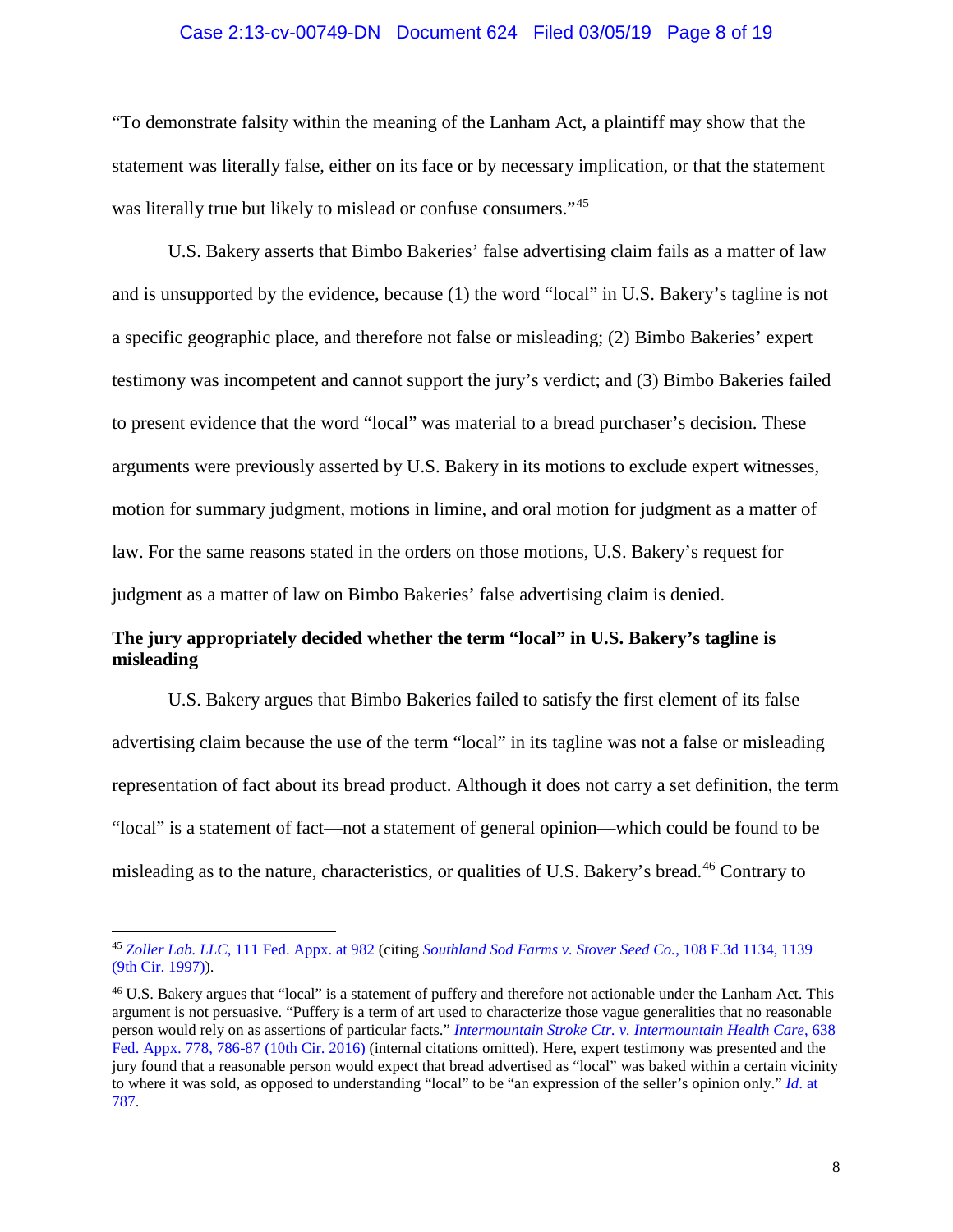#### Case 2:13-cv-00749-DN Document 624 Filed 03/05/19 Page 8 of 19

"To demonstrate falsity within the meaning of the Lanham Act, a plaintiff may show that the statement was literally false, either on its face or by necessary implication, or that the statement was literally true but likely to mislead or confuse consumers."<sup>[45](#page-7-1)</sup>

U.S. Bakery asserts that Bimbo Bakeries' false advertising claim fails as a matter of law and is unsupported by the evidence, because (1) the word "local" in U.S. Bakery's tagline is not a specific geographic place, and therefore not false or misleading; (2) Bimbo Bakeries' expert testimony was incompetent and cannot support the jury's verdict; and (3) Bimbo Bakeries failed to present evidence that the word "local" was material to a bread purchaser's decision. These arguments were previously asserted by U.S. Bakery in its motions to exclude expert witnesses, motion for summary judgment, motions in limine, and oral motion for judgment as a matter of law. For the same reasons stated in the orders on those motions, U.S. Bakery's request for judgment as a matter of law on Bimbo Bakeries' false advertising claim is denied.

## <span id="page-7-0"></span>**The jury appropriately decided whether the term "local" in U.S. Bakery's tagline is misleading**

U.S. Bakery argues that Bimbo Bakeries failed to satisfy the first element of its false advertising claim because the use of the term "local" in its tagline was not a false or misleading representation of fact about its bread product. Although it does not carry a set definition, the term "local" is a statement of fact—not a statement of general opinion—which could be found to be misleading as to the nature, characteristics, or qualities of U.S. Bakery's bread.<sup>[46](#page-7-2)</sup> Contrary to

<span id="page-7-1"></span> <sup>45</sup> *Zoller Lab. LLC*[, 111 Fed. Appx. at 982](https://www.westlaw.com/Document/I9c997f628bbf11d9af17b5c9441c4c47/View/FullText.html?transitionType=Default&contextData=(sc.Default)&VR=3.0&RS=da3.0&fragmentIdentifier=co_pp_sp_6538_982) (citing *[Southland Sod Farms v. Stover Seed Co.](https://www.westlaw.com/Document/Ia2a95252941511d9a707f4371c9c34f0/View/FullText.html?transitionType=Default&contextData=(sc.Default)&VR=3.0&RS=da3.0&fragmentIdentifier=co_pp_sp_506_1139)*, 108 F.3d 1134, 1139 [\(9th Cir. 1997\)\)](https://www.westlaw.com/Document/Ia2a95252941511d9a707f4371c9c34f0/View/FullText.html?transitionType=Default&contextData=(sc.Default)&VR=3.0&RS=da3.0&fragmentIdentifier=co_pp_sp_506_1139).

<span id="page-7-2"></span><sup>46</sup> U.S. Bakery argues that "local" is a statement of puffery and therefore not actionable under the Lanham Act. This argument is not persuasive. "Puffery is a term of art used to characterize those vague generalities that no reasonable person would rely on as assertions of particular facts." *[Intermountain Stroke Ctr. v. Intermountain Health Care](https://www.westlaw.com/Document/I98802d44d07b11e5a807ad48145ed9f1/View/FullText.html?transitionType=Default&contextData=(sc.Default)&VR=3.0&RS=da3.0&fragmentIdentifier=co_pp_sp_6538_786)*, 638 [Fed. Appx. 778, 786-87 \(10th Cir. 2016\)](https://www.westlaw.com/Document/I98802d44d07b11e5a807ad48145ed9f1/View/FullText.html?transitionType=Default&contextData=(sc.Default)&VR=3.0&RS=da3.0&fragmentIdentifier=co_pp_sp_6538_786) (internal citations omitted). Here, expert testimony was presented and the jury found that a reasonable person would expect that bread advertised as "local" was baked within a certain vicinity to where it was sold, as opposed to understanding "local" to be "an expression of the seller's opinion only." *Id*[. at](https://www.westlaw.com/Document/I98802d44d07b11e5a807ad48145ed9f1/View/FullText.html?transitionType=Default&contextData=(sc.Default)&VR=3.0&RS=da3.0&fragmentIdentifier=co_pp_sp_6538_787)  [787.](https://www.westlaw.com/Document/I98802d44d07b11e5a807ad48145ed9f1/View/FullText.html?transitionType=Default&contextData=(sc.Default)&VR=3.0&RS=da3.0&fragmentIdentifier=co_pp_sp_6538_787)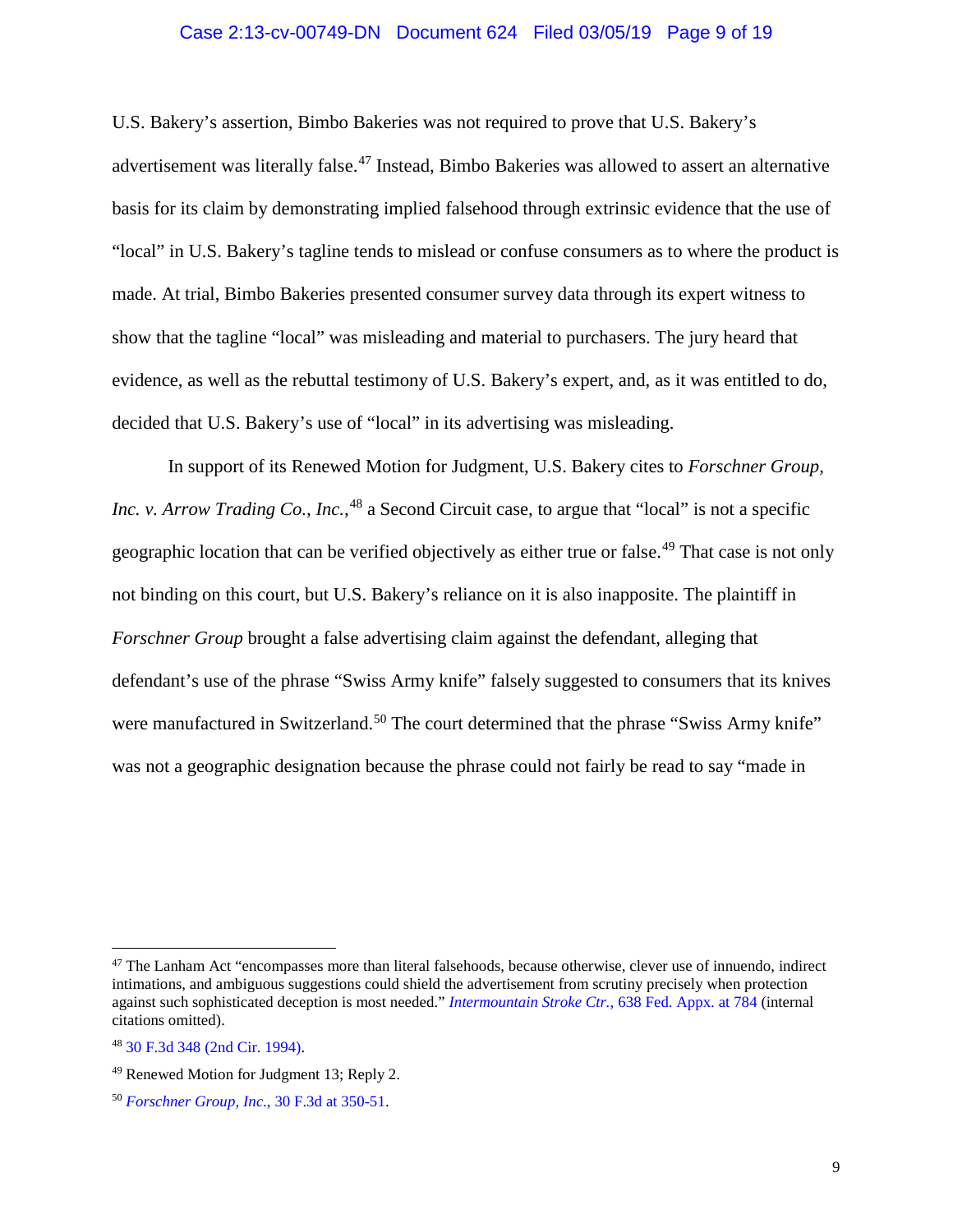#### Case 2:13-cv-00749-DN Document 624 Filed 03/05/19 Page 9 of 19

U.S. Bakery's assertion, Bimbo Bakeries was not required to prove that U.S. Bakery's advertisement was literally false.[47](#page-8-0) Instead, Bimbo Bakeries was allowed to assert an alternative basis for its claim by demonstrating implied falsehood through extrinsic evidence that the use of "local" in U.S. Bakery's tagline tends to mislead or confuse consumers as to where the product is made. At trial, Bimbo Bakeries presented consumer survey data through its expert witness to show that the tagline "local" was misleading and material to purchasers. The jury heard that evidence, as well as the rebuttal testimony of U.S. Bakery's expert, and, as it was entitled to do, decided that U.S. Bakery's use of "local" in its advertising was misleading.

In support of its Renewed Motion for Judgment, U.S. Bakery cites to *Forschner Group, Inc. v. Arrow Trading Co., Inc.*, <sup>[48](#page-8-1)</sup> a Second Circuit case, to argue that "local" is not a specific geographic location that can be verified objectively as either true or false.<sup>[49](#page-8-2)</sup> That case is not only not binding on this court, but U.S. Bakery's reliance on it is also inapposite. The plaintiff in *Forschner Group* brought a false advertising claim against the defendant, alleging that defendant's use of the phrase "Swiss Army knife" falsely suggested to consumers that its knives were manufactured in Switzerland.<sup>[50](#page-8-3)</sup> The court determined that the phrase "Swiss Army knife" was not a geographic designation because the phrase could not fairly be read to say "made in

<span id="page-8-0"></span><sup>&</sup>lt;sup>47</sup> The Lanham Act "encompasses more than literal falsehoods, because otherwise, clever use of innuendo, indirect intimations, and ambiguous suggestions could shield the advertisement from scrutiny precisely when protection against such sophisticated deception is most needed." *[Intermountain Stroke Ctr.,](https://www.westlaw.com/Document/I98802d44d07b11e5a807ad48145ed9f1/View/FullText.html?transitionType=Default&contextData=(sc.Default)&VR=3.0&RS=da3.0&fragmentIdentifier=co_pp_sp_6538_784)* 638 Fed. Appx. at 784 (internal citations omitted).

<span id="page-8-1"></span><sup>48</sup> [30 F.3d 348 \(2nd Cir. 1994\).](https://www.westlaw.com/Document/I8d6429dc970611d9bdd1cfdd544ca3a4/View/FullText.html?transitionType=Default&contextData=(sc.Default)&VR=3.0&RS=da3.0)

<span id="page-8-2"></span><sup>49</sup> Renewed Motion for Judgment 13; Reply 2.

<span id="page-8-3"></span><sup>50</sup> *[Forschner Group, Inc](https://www.westlaw.com/Document/I8d6429dc970611d9bdd1cfdd544ca3a4/View/FullText.html?transitionType=Default&contextData=(sc.Default)&VR=3.0&RS=da3.0&fragmentIdentifier=co_pp_sp_506_350)*., 30 F.3d at 350-51.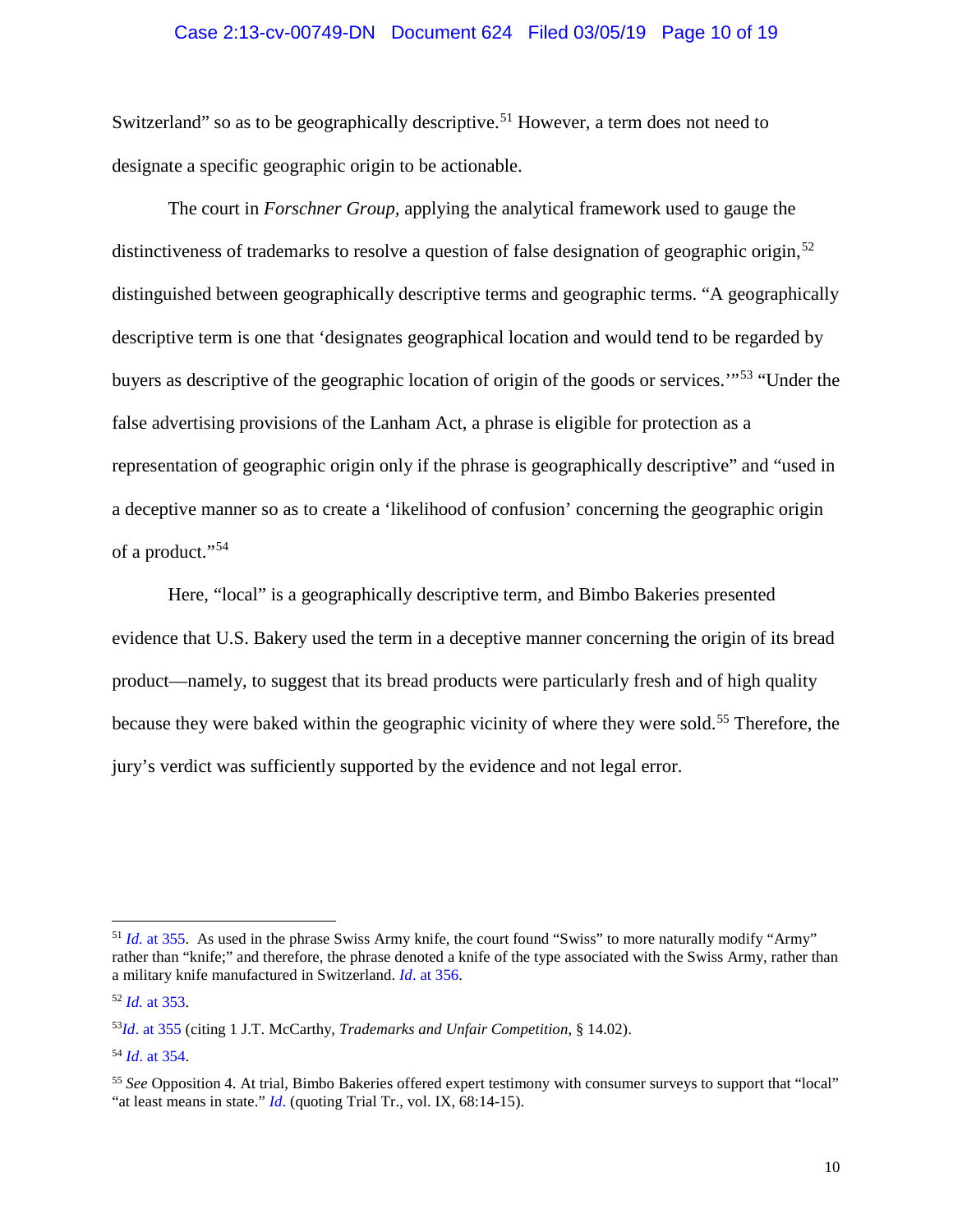#### Case 2:13-cv-00749-DN Document 624 Filed 03/05/19 Page 10 of 19

Switzerland" so as to be geographically descriptive.<sup>[51](#page-9-0)</sup> However, a term does not need to designate a specific geographic origin to be actionable.

The court in *Forschner Group,* applying the analytical framework used to gauge the distinctiveness of trademarks to resolve a question of false designation of geographic origin,<sup>[52](#page-9-1)</sup> distinguished between geographically descriptive terms and geographic terms. "A geographically descriptive term is one that 'designates geographical location and would tend to be regarded by buyers as descriptive of the geographic location of origin of the goods or services.'"[53](#page-9-2) "Under the false advertising provisions of the Lanham Act, a phrase is eligible for protection as a representation of geographic origin only if the phrase is geographically descriptive" and "used in a deceptive manner so as to create a 'likelihood of confusion' concerning the geographic origin of a product."[54](#page-9-3)

Here, "local" is a geographically descriptive term, and Bimbo Bakeries presented evidence that U.S. Bakery used the term in a deceptive manner concerning the origin of its bread product—namely, to suggest that its bread products were particularly fresh and of high quality because they were baked within the geographic vicinity of where they were sold.<sup>[55](#page-9-4)</sup> Therefore, the jury's verdict was sufficiently supported by the evidence and not legal error.

<span id="page-9-0"></span><sup>&</sup>lt;sup>51</sup> *Id.* [at 355.](https://www.westlaw.com/Document/I8d6429dc970611d9bdd1cfdd544ca3a4/View/FullText.html?transitionType=Default&contextData=(sc.Default)&VR=3.0&RS=da3.0&fragmentIdentifier=co_pp_sp_506_355) As used in the phrase Swiss Army knife, the court found "Swiss" to more naturally modify "Army" rather than "knife;" and therefore, the phrase denoted a knife of the type associated with the Swiss Army, rather than a military knife manufactured in Switzerland. *Id*[. at 356.](https://www.westlaw.com/Document/I8d6429dc970611d9bdd1cfdd544ca3a4/View/FullText.html?transitionType=Default&contextData=(sc.Default)&VR=3.0&RS=da3.0&fragmentIdentifier=co_pp_sp_506_356)

<span id="page-9-1"></span><sup>52</sup> *Id.* [at 353.](https://www.westlaw.com/Document/I8d6429dc970611d9bdd1cfdd544ca3a4/View/FullText.html?transitionType=Default&contextData=(sc.Default)&VR=3.0&RS=da3.0&fragmentIdentifier=co_pp_sp_506_353)

<span id="page-9-2"></span><sup>53</sup>*Id*[. at 355](https://www.westlaw.com/Document/I8d6429dc970611d9bdd1cfdd544ca3a4/View/FullText.html?transitionType=Default&contextData=(sc.Default)&VR=3.0&RS=da3.0&fragmentIdentifier=co_pp_sp_506_355) (citing 1 J.T. McCarthy, *Trademarks and Unfair Competition*, § 14.02).

<span id="page-9-3"></span><sup>54</sup> *Id*[. at 354.](https://www.westlaw.com/Document/I8d6429dc970611d9bdd1cfdd544ca3a4/View/FullText.html?transitionType=Default&contextData=(sc.Default)&VR=3.0&RS=da3.0&fragmentIdentifier=co_pp_sp_506_354)

<span id="page-9-4"></span><sup>55</sup> *See* Opposition 4. At trial, Bimbo Bakeries offered expert testimony with consumer surveys to support that "local" "at least means in state." *[Id](https://www.westlaw.com/Document/I8d6429dc970611d9bdd1cfdd544ca3a4/View/FullText.html?transitionType=Default&contextData=(sc.Default)&VR=3.0&RS=da3.0).* (quoting Trial Tr., vol. IX, 68:14-15).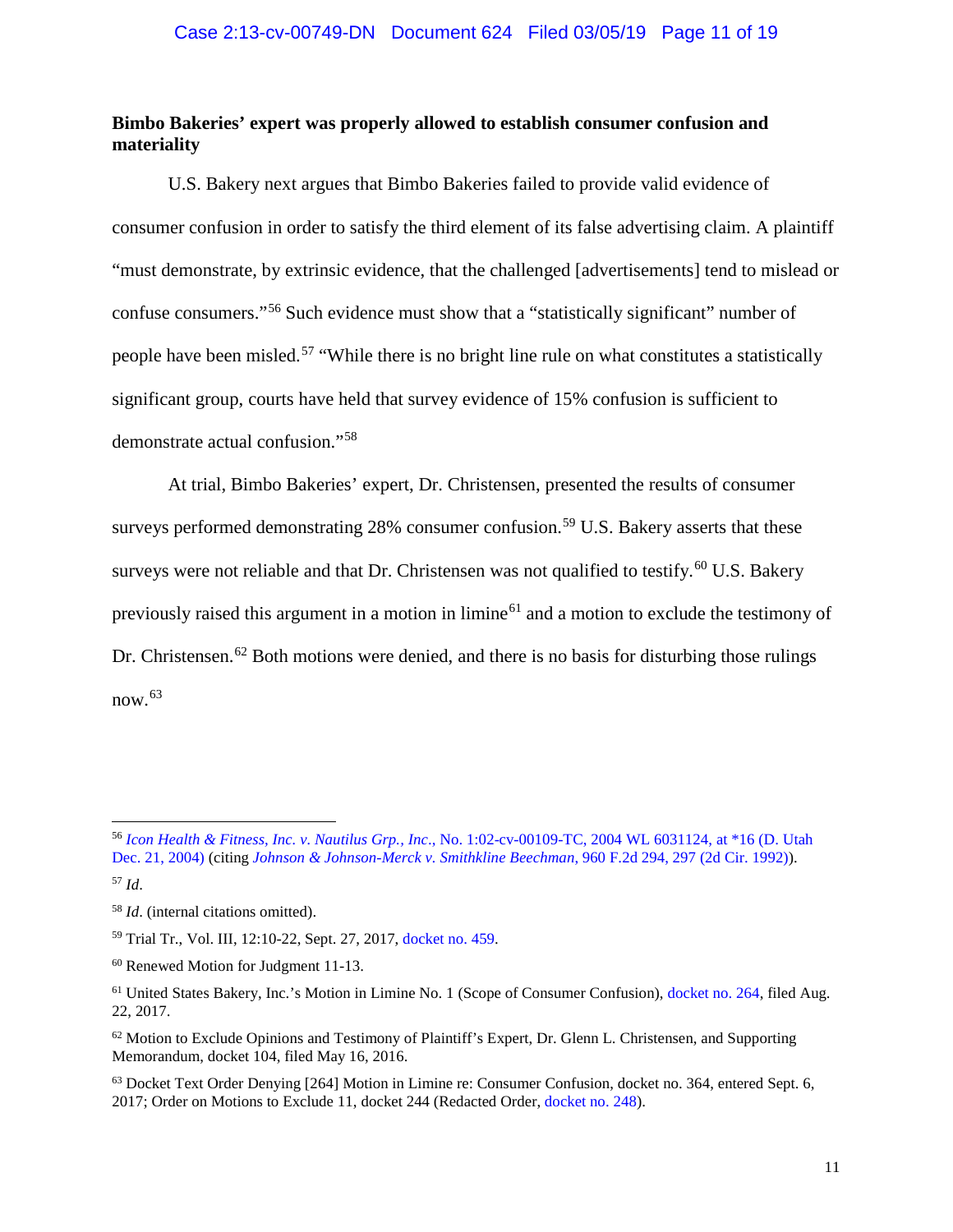## <span id="page-10-0"></span>**Bimbo Bakeries' expert was properly allowed to establish consumer confusion and materiality**

U.S. Bakery next argues that Bimbo Bakeries failed to provide valid evidence of consumer confusion in order to satisfy the third element of its false advertising claim. A plaintiff "must demonstrate, by extrinsic evidence, that the challenged [advertisements] tend to mislead or confuse consumers."[56](#page-10-1) Such evidence must show that a "statistically significant" number of people have been misled.[57](#page-10-2) "While there is no bright line rule on what constitutes a statistically significant group, courts have held that survey evidence of 15% confusion is sufficient to demonstrate actual confusion."[58](#page-10-3)

At trial, Bimbo Bakeries' expert, Dr. Christensen, presented the results of consumer surveys performed demonstrating 28% consumer confusion.<sup>[59](#page-10-4)</sup> U.S. Bakery asserts that these surveys were not reliable and that Dr. Christensen was not qualified to testify.<sup>[60](#page-10-5)</sup> U.S. Bakery previously raised this argument in a motion in limine<sup>[61](#page-10-6)</sup> and a motion to exclude the testimony of Dr. Christensen.<sup>[62](#page-10-7)</sup> Both motions were denied, and there is no basis for disturbing those rulings now. [63](#page-10-8)

<span id="page-10-4"></span><sup>59</sup> Trial Tr., Vol. III, 12:10-22, Sept. 27, 2017[, docket no. 459.](https://ecf.utd.uscourts.gov/doc1/18314124494)

<span id="page-10-1"></span> <sup>56</sup> *Icon Health & Fitness, Inc. v. Nautilus Grp., Inc*[., No. 1:02-cv-00109-TC, 2004 WL 6031124, at \\*16 \(D. Utah](https://www.westlaw.com/Document/I67b4a6aff3fe11e0a9e5bdc02ef2b18e/View/FullText.html?transitionType=Default&contextData=(sc.Default)&VR=3.0&RS=da3.0&fragmentIdentifier=co_pp_sp_999_16)  [Dec. 21, 2004\)](https://www.westlaw.com/Document/I67b4a6aff3fe11e0a9e5bdc02ef2b18e/View/FullText.html?transitionType=Default&contextData=(sc.Default)&VR=3.0&RS=da3.0&fragmentIdentifier=co_pp_sp_999_16) (citing *[Johnson & Johnson-Merck v. Smithkline Beechman](https://www.westlaw.com/Document/I372e4a0e94cc11d993e6d35cc61aab4a/View/FullText.html?transitionType=Default&contextData=(sc.Default)&VR=3.0&RS=da3.0&fragmentIdentifier=co_pp_sp_350_297)*, 960 F.2d 294, 297 (2d Cir. 1992)).

<span id="page-10-2"></span><sup>57</sup> *Id*.

<span id="page-10-3"></span><sup>58</sup> *Id*. (internal citations omitted).

<span id="page-10-5"></span><sup>60</sup> Renewed Motion for Judgment 11-13.

<span id="page-10-6"></span><sup>61</sup> United States Bakery, Inc.'s Motion in Limine No. 1 (Scope of Consumer Confusion), [docket no. 264,](https://ecf.utd.uscourts.gov/doc1/18314063007) filed Aug. 22, 2017.

<span id="page-10-7"></span> $62$  Motion to Exclude Opinions and Testimony of Plaintiff's Expert, Dr. Glenn L. Christensen, and Supporting Memorandum, docket 104, filed May 16, 2016.

<span id="page-10-8"></span><sup>63</sup> Docket Text Order Denying [264] Motion in Limine re: Consumer Confusion, docket no. 364, entered Sept. 6, 2017; Order on Motions to Exclude 11, docket 244 (Redacted Order, [docket no. 248\)](https://ecf.utd.uscourts.gov/doc1/18313940545).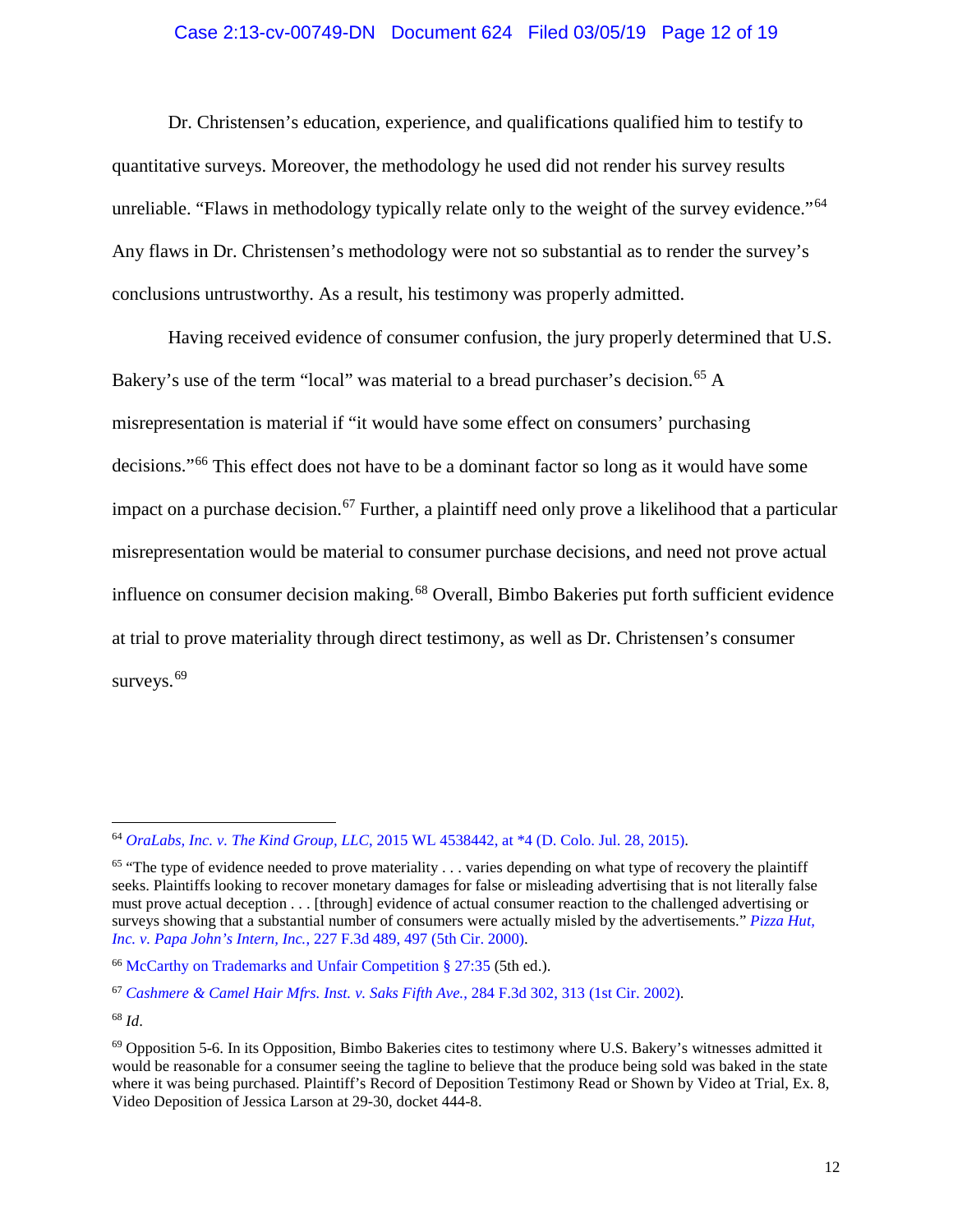#### Case 2:13-cv-00749-DN Document 624 Filed 03/05/19 Page 12 of 19

Dr. Christensen's education, experience, and qualifications qualified him to testify to quantitative surveys. Moreover, the methodology he used did not render his survey results unreliable. "Flaws in methodology typically relate only to the weight of the survey evidence."<sup>[64](#page-11-0)</sup> Any flaws in Dr. Christensen's methodology were not so substantial as to render the survey's conclusions untrustworthy. As a result, his testimony was properly admitted.

Having received evidence of consumer confusion, the jury properly determined that U.S. Bakery's use of the term "local" was material to a bread purchaser's decision.<sup>[65](#page-11-1)</sup> A misrepresentation is material if "it would have some effect on consumers' purchasing decisions."[66](#page-11-2) This effect does not have to be a dominant factor so long as it would have some impact on a purchase decision.<sup>[67](#page-11-3)</sup> Further, a plaintiff need only prove a likelihood that a particular misrepresentation would be material to consumer purchase decisions, and need not prove actual influence on consumer decision making.<sup>[68](#page-11-4)</sup> Overall, Bimbo Bakeries put forth sufficient evidence at trial to prove materiality through direct testimony, as well as Dr. Christensen's consumer surveys.<sup>[69](#page-11-5)</sup>

<span id="page-11-4"></span><sup>68</sup> *Id*.

<span id="page-11-0"></span> <sup>64</sup> *OraLabs, Inc. v. The Kind Group, LLC*[, 2015 WL 4538442, at \\*4 \(D. Colo. Jul. 28, 2015\).](https://www.westlaw.com/Document/I37cf7be035b711e599358612e0bf9496/View/FullText.html?transitionType=Default&contextData=(sc.Default)&VR=3.0&RS=da3.0&fragmentIdentifier=co_pp_sp_999_4)

<span id="page-11-1"></span> $65$  "The type of evidence needed to prove materiality  $\dots$  varies depending on what type of recovery the plaintiff seeks. Plaintiffs looking to recover monetary damages for false or misleading advertising that is not literally false must prove actual deception . . . [through] evidence of actual consumer reaction to the challenged advertising or surveys showing that a substantial number of consumers were actually misled by the advertisements." *[Pizza Hut,](https://www.westlaw.com/Document/I644fd254798e11d98c82a53fc8ac8757/View/FullText.html?transitionType=Default&contextData=(sc.Default)&VR=3.0&RS=da3.0&fragmentIdentifier=co_pp_sp_506_497)  Inc. v. Papa John's Intern, Inc.*[, 227 F.3d 489, 497 \(5th Cir. 2000\).](https://www.westlaw.com/Document/I644fd254798e11d98c82a53fc8ac8757/View/FullText.html?transitionType=Default&contextData=(sc.Default)&VR=3.0&RS=da3.0&fragmentIdentifier=co_pp_sp_506_497)

<span id="page-11-2"></span><sup>66</sup> [McCarthy on Trademarks and Unfair Competition § 27:35](https://www.westlaw.com/Document/I3813528f20fc11dc831aeff3279daa61/View/FullText.html?transitionType=Default&contextData=(sc.Default)&VR=3.0&RS=da3.0) (5th ed.).

<span id="page-11-3"></span><sup>67</sup> *[Cashmere & Camel Hair Mfrs. Inst. v. Saks Fifth Ave.](https://www.westlaw.com/Document/I819def3979d011d9ac1ffa9f33b6c3b0/View/FullText.html?transitionType=Default&contextData=(sc.Default)&VR=3.0&RS=da3.0&fragmentIdentifier=co_pp_sp_506_313)*, 284 F.3d 302, 313 (1st Cir. 2002).

<span id="page-11-5"></span> $69$  Opposition 5-6. In its Opposition, Bimbo Bakeries cites to testimony where U.S. Bakery's witnesses admitted it would be reasonable for a consumer seeing the tagline to believe that the produce being sold was baked in the state where it was being purchased. Plaintiff's Record of Deposition Testimony Read or Shown by Video at Trial, Ex. 8, Video Deposition of Jessica Larson at 29-30, docket 444-8.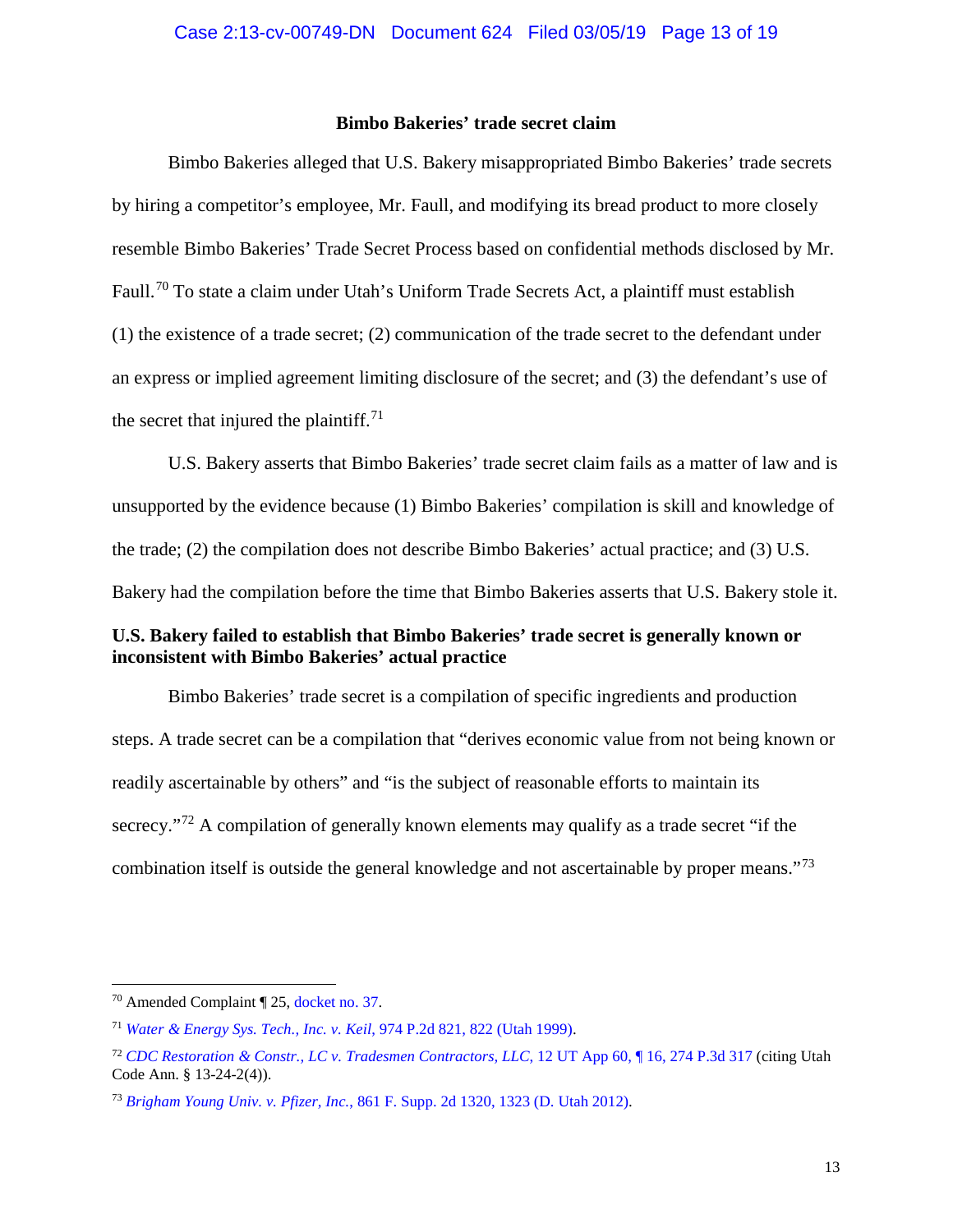## **Bimbo Bakeries' trade secret claim**

<span id="page-12-0"></span>Bimbo Bakeries alleged that U.S. Bakery misappropriated Bimbo Bakeries' trade secrets by hiring a competitor's employee, Mr. Faull, and modifying its bread product to more closely resemble Bimbo Bakeries' Trade Secret Process based on confidential methods disclosed by Mr. Faull.<sup>[70](#page-12-2)</sup> To state a claim under Utah's Uniform Trade Secrets Act, a plaintiff must establish (1) the existence of a trade secret; (2) communication of the trade secret to the defendant under an express or implied agreement limiting disclosure of the secret; and (3) the defendant's use of the secret that injured the plaintiff. $71$ 

U.S. Bakery asserts that Bimbo Bakeries' trade secret claim fails as a matter of law and is unsupported by the evidence because (1) Bimbo Bakeries' compilation is skill and knowledge of the trade; (2) the compilation does not describe Bimbo Bakeries' actual practice; and (3) U.S. Bakery had the compilation before the time that Bimbo Bakeries asserts that U.S. Bakery stole it.

## <span id="page-12-1"></span>**U.S. Bakery failed to establish that Bimbo Bakeries' trade secret is generally known or inconsistent with Bimbo Bakeries' actual practice**

Bimbo Bakeries' trade secret is a compilation of specific ingredients and production steps. A trade secret can be a compilation that "derives economic value from not being known or readily ascertainable by others" and "is the subject of reasonable efforts to maintain its secrecy."<sup>[72](#page-12-4)</sup> A compilation of generally known elements may qualify as a trade secret "if the combination itself is outside the general knowledge and not ascertainable by proper means."[73](#page-12-5)

<span id="page-12-2"></span> <sup>70</sup> Amended Complaint ¶ 25, [docket no. 37.](https://ecf.utd.uscourts.gov/doc1/18313219180)

<span id="page-12-3"></span><sup>71</sup> *[Water & Energy Sys. Tech., Inc. v. Keil](https://www.westlaw.com/Document/Icec6a695f55911d9b386b232635db992/View/FullText.html?transitionType=Default&contextData=(sc.Default)&VR=3.0&RS=da3.0&fragmentIdentifier=co_pp_sp_661_822)*, 974 P.2d 821, 822 (Utah 1999).

<span id="page-12-4"></span><sup>72</sup> *[CDC Restoration & Constr., LC v. Tradesmen Contractors, LLC](https://www.westlaw.com/Document/I03b182df6f7411e18b1ac573b20fcfb7/View/FullText.html?transitionType=Default&contextData=(sc.Default)&VR=3.0&RS=da3.0)*, 12 UT App 60, ¶ 16, 274 P.3d 317 (citing Utah Code Ann. § 13-24-2(4)).

<span id="page-12-5"></span><sup>73</sup> *Brigham Young Univ. v. Pfizer, Inc.*[, 861 F. Supp. 2d 1320, 1323 \(D. Utah 2012\).](https://www.westlaw.com/Document/Iff320739742b11e1b71fa7764cbfcb47/View/FullText.html?transitionType=Default&contextData=(sc.Default)&VR=3.0&RS=da3.0&fragmentIdentifier=co_pp_sp_4637_1323)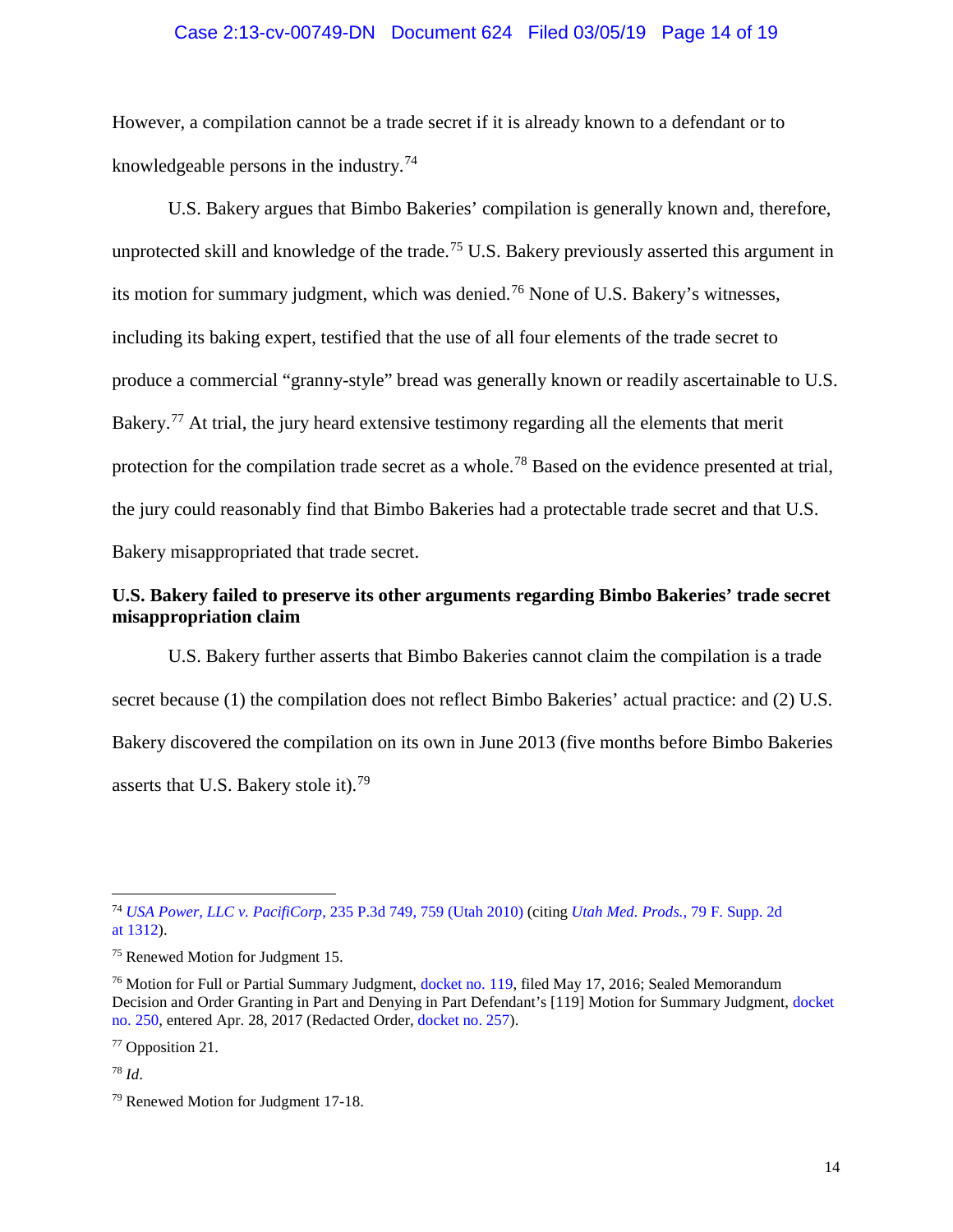### Case 2:13-cv-00749-DN Document 624 Filed 03/05/19 Page 14 of 19

However, a compilation cannot be a trade secret if it is already known to a defendant or to knowledgeable persons in the industry.<sup>[74](#page-13-1)</sup>

U.S. Bakery argues that Bimbo Bakeries' compilation is generally known and, therefore, unprotected skill and knowledge of the trade.<sup>[75](#page-13-2)</sup> U.S. Bakery previously asserted this argument in its motion for summary judgment, which was denied.<sup>[76](#page-13-3)</sup> None of U.S. Bakery's witnesses, including its baking expert, testified that the use of all four elements of the trade secret to produce a commercial "granny-style" bread was generally known or readily ascertainable to U.S. Bakery.<sup>[77](#page-13-4)</sup> At trial, the jury heard extensive testimony regarding all the elements that merit protection for the compilation trade secret as a whole.<sup>[78](#page-13-5)</sup> Based on the evidence presented at trial, the jury could reasonably find that Bimbo Bakeries had a protectable trade secret and that U.S. Bakery misappropriated that trade secret.

## <span id="page-13-0"></span>**U.S. Bakery failed to preserve its other arguments regarding Bimbo Bakeries' trade secret misappropriation claim**

U.S. Bakery further asserts that Bimbo Bakeries cannot claim the compilation is a trade secret because (1) the compilation does not reflect Bimbo Bakeries' actual practice: and (2) U.S. Bakery discovered the compilation on its own in June 2013 (five months before Bimbo Bakeries asserts that U.S. Bakery stole it).<sup>[79](#page-13-6)</sup>

<span id="page-13-4"></span><sup>77</sup> Opposition 21.

<span id="page-13-5"></span><sup>78</sup> *Id*.

<span id="page-13-1"></span> <sup>74</sup> *USA Power, LLC v. PacifiCorp*[, 235 P.3d 749, 759 \(Utah 2010\)](https://www.westlaw.com/Document/Ib4e780dd8f3a11df86c1ad798a0ca1c1/View/FullText.html?transitionType=Default&contextData=(sc.Default)&VR=3.0&RS=da3.0&fragmentIdentifier=co_pp_sp_4645_759) (citing *[Utah Med. Prods.](https://www.westlaw.com/Document/I5a571ce4569311d9a99c85a9e6023ffa/View/FullText.html?transitionType=Default&contextData=(sc.Default)&VR=3.0&RS=da3.0&fragmentIdentifier=co_pp_sp_4637_1312)*, 79 F. Supp. 2d at [1312\)](https://www.westlaw.com/Document/I5a571ce4569311d9a99c85a9e6023ffa/View/FullText.html?transitionType=Default&contextData=(sc.Default)&VR=3.0&RS=da3.0&fragmentIdentifier=co_pp_sp_4637_1312).

<span id="page-13-2"></span><sup>75</sup> Renewed Motion for Judgment 15.

<span id="page-13-3"></span><sup>&</sup>lt;sup>76</sup> Motion for Full or Partial Summary Judgment, [docket no. 119,](https://ecf.utd.uscourts.gov/doc1/18313644649) filed May 17, 2016; Sealed Memorandum Decision and Order Granting in Part and Denying in Part Defendant's [119] Motion for Summary Judgment, [docket](https://ecf.utd.uscourts.gov/doc1/18313956947)  [no. 250,](https://ecf.utd.uscourts.gov/doc1/18313956947) entered Apr. 28, 2017 (Redacted Order[, docket no. 257\)](https://ecf.utd.uscourts.gov/doc1/18314035218).

<span id="page-13-6"></span><sup>79</sup> Renewed Motion for Judgment 17-18.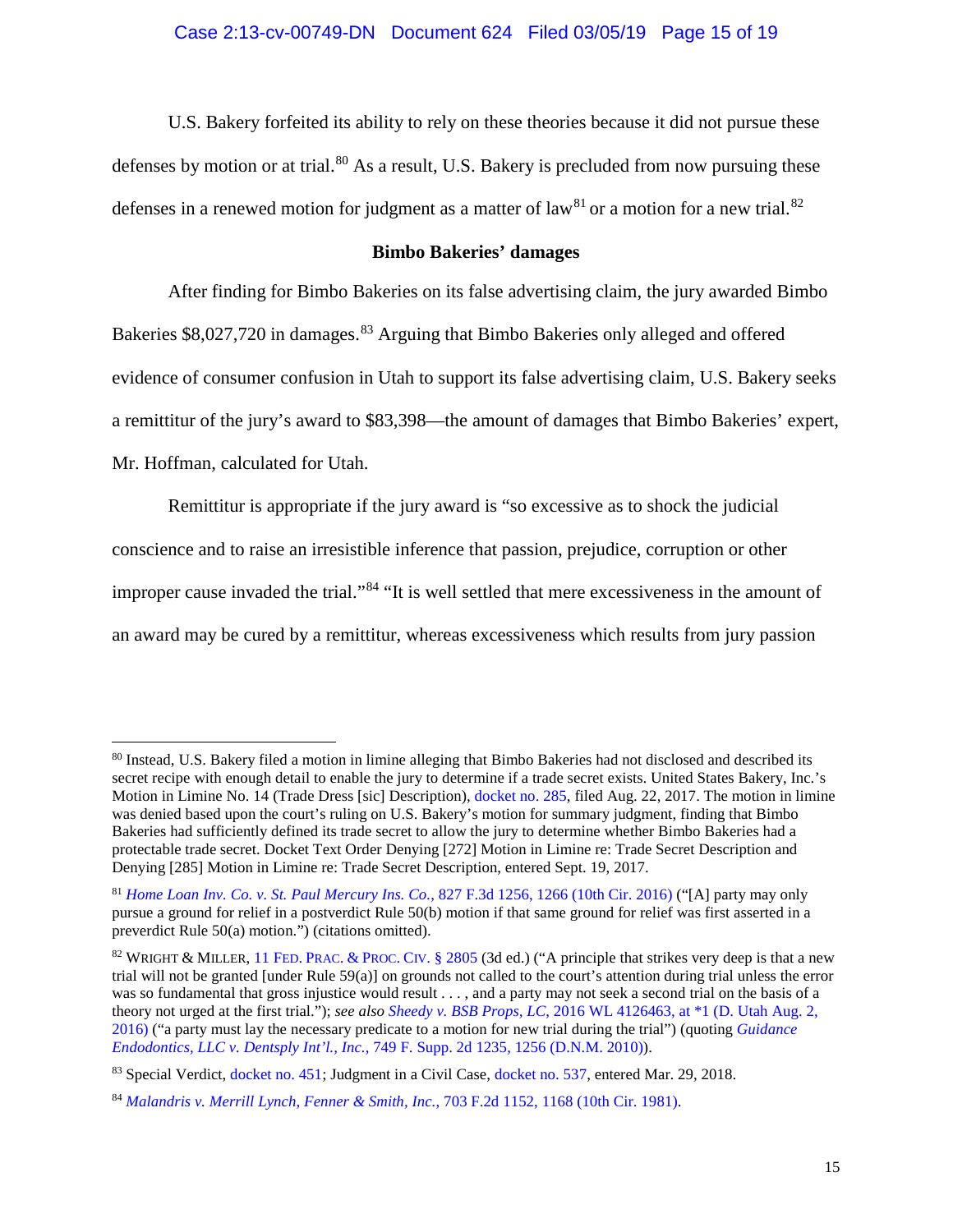U.S. Bakery forfeited its ability to rely on these theories because it did not pursue these defenses by motion or at trial.<sup>[80](#page-14-1)</sup> As a result, U.S. Bakery is precluded from now pursuing these defenses in a renewed motion for judgment as a matter of law<sup>[81](#page-14-2)</sup> or a motion for a new trial.<sup>[82](#page-14-3)</sup>

#### **Bimbo Bakeries' damages**

<span id="page-14-0"></span>After finding for Bimbo Bakeries on its false advertising claim, the jury awarded Bimbo Bakeries \$8,027,720 in damages.<sup>[83](#page-14-4)</sup> Arguing that Bimbo Bakeries only alleged and offered evidence of consumer confusion in Utah to support its false advertising claim, U.S. Bakery seeks a remittitur of the jury's award to \$83,398—the amount of damages that Bimbo Bakeries' expert,

Mr. Hoffman, calculated for Utah.

Remittitur is appropriate if the jury award is "so excessive as to shock the judicial conscience and to raise an irresistible inference that passion, prejudice, corruption or other improper cause invaded the trial."[84](#page-14-5) "It is well settled that mere excessiveness in the amount of an award may be cured by a remittitur, whereas excessiveness which results from jury passion

<span id="page-14-1"></span> <sup>80</sup> Instead, U.S. Bakery filed a motion in limine alleging that Bimbo Bakeries had not disclosed and described its secret recipe with enough detail to enable the jury to determine if a trade secret exists. United States Bakery, Inc.'s Motion in Limine No. 14 (Trade Dress [sic] Description), [docket no. 285,](https://ecf.utd.uscourts.gov/doc1/18314063388) filed Aug. 22, 2017. The motion in limine was denied based upon the court's ruling on U.S. Bakery's motion for summary judgment, finding that Bimbo Bakeries had sufficiently defined its trade secret to allow the jury to determine whether Bimbo Bakeries had a protectable trade secret. Docket Text Order Denying [272] Motion in Limine re: Trade Secret Description and Denying [285] Motion in Limine re: Trade Secret Description, entered Sept. 19, 2017.

<span id="page-14-2"></span><sup>81</sup> *[Home Loan Inv. Co. v. St. Paul Mercury](https://www.westlaw.com/Document/I2ef67110435611e6accba36daa2dab8f/View/FullText.html?transitionType=Default&contextData=(sc.Default)&VR=3.0&RS=da3.0&fragmentIdentifier=co_pp_sp_506_1266) Ins. Co.*, 827 F.3d 1256, 1266 (10th Cir. 2016) ("[A] party may only pursue a ground for relief in a postverdict Rule 50(b) motion if that same ground for relief was first asserted in a preverdict Rule 50(a) motion.") (citations omitted).

<span id="page-14-3"></span><sup>&</sup>lt;sup>82</sup> WRIGHT & MILLER, [11](https://www.westlaw.com/Document/I10a16d48c5b811daa666cf850f98c447/View/FullText.html?transitionType=Default&contextData=(sc.Default)&VR=3.0&RS=da3.0) FED. [PRAC.](https://www.westlaw.com/Document/I10a16d48c5b811daa666cf850f98c447/View/FullText.html?transitionType=Default&contextData=(sc.Default)&VR=3.0&RS=da3.0) & PROC. CIV. § 2805 (3d ed.) ("A principle that strikes very deep is that a new trial will not be granted [under Rule 59(a)] on grounds not called to the court's attention during trial unless the error was so fundamental that gross injustice would result . . . , and a party may not seek a second trial on the basis of a theory not urged at the first trial."); *see also Sheedy v. BSB Props, LC*[, 2016 WL 4126463, at \\*1 \(D. Utah Aug. 2,](https://www.westlaw.com/Document/Iea2574d05a2211e69503c700e640df56/View/FullText.html?transitionType=Default&contextData=(sc.Default)&VR=3.0&RS=da3.0&fragmentIdentifier=co_pp_sp_999_1)  [2016\)](https://www.westlaw.com/Document/Iea2574d05a2211e69503c700e640df56/View/FullText.html?transitionType=Default&contextData=(sc.Default)&VR=3.0&RS=da3.0&fragmentIdentifier=co_pp_sp_999_1) ("a party must lay the necessary predicate to a motion for new trial during the trial") (quoting *[Guidance](https://www.westlaw.com/Document/Ia0aea13de82411df9d9cae30585baa87/View/FullText.html?transitionType=Default&contextData=(sc.Default)&VR=3.0&RS=da3.0&fragmentIdentifier=co_pp_sp_4637_1256)  Endodontics, LLC v. Dentsply Int'l., Inc.*[, 749 F. Supp. 2d 1235, 1256 \(D.N.M. 2010\)\)](https://www.westlaw.com/Document/Ia0aea13de82411df9d9cae30585baa87/View/FullText.html?transitionType=Default&contextData=(sc.Default)&VR=3.0&RS=da3.0&fragmentIdentifier=co_pp_sp_4637_1256).

<span id="page-14-4"></span><sup>83</sup> Special Verdict, [docket no. 451;](https://ecf.utd.uscourts.gov/doc1/18314109154) Judgment in a Civil Case, [docket no. 537,](https://ecf.utd.uscourts.gov/doc1/18314260967) entered Mar. 29, 2018.

<span id="page-14-5"></span><sup>84</sup> *[Malandris v. Merrill Lynch, Fenner & Smith, Inc.](https://www.westlaw.com/Document/Ia182e06a927811d9bdd1cfdd544ca3a4/View/FullText.html?transitionType=Default&contextData=(sc.Default)&VR=3.0&RS=da3.0&fragmentIdentifier=co_pp_sp_350_1168)*, 703 F.2d 1152, 1168 (10th Cir. 1981).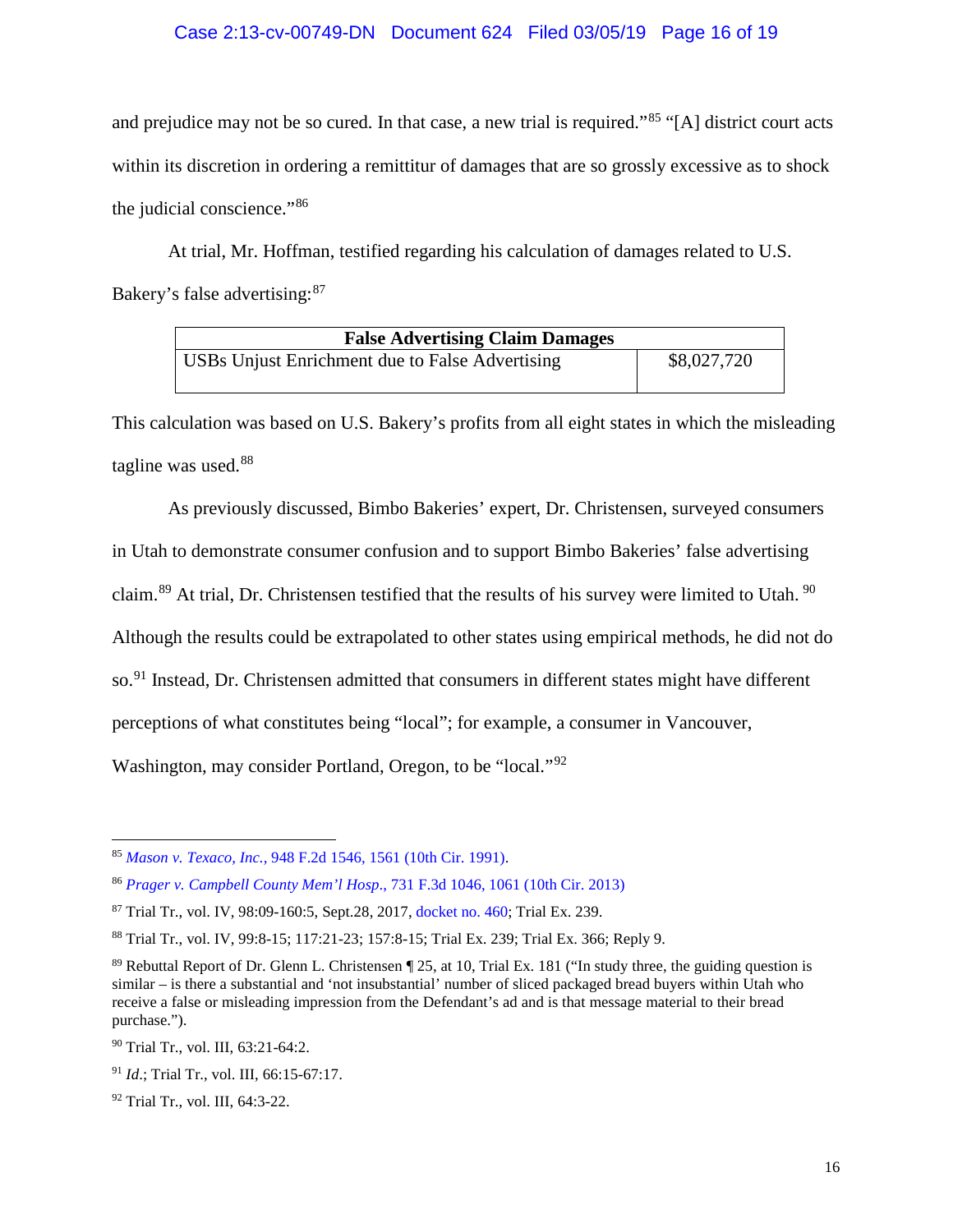## Case 2:13-cv-00749-DN Document 624 Filed 03/05/19 Page 16 of 19

and prejudice may not be so cured. In that case, a new trial is required."<sup>[85](#page-15-0)</sup> "[A] district court acts within its discretion in ordering a remittitur of damages that are so grossly excessive as to shock the judicial conscience."[86](#page-15-1)

At trial, Mr. Hoffman, testified regarding his calculation of damages related to U.S. Bakery's false advertising: <sup>[87](#page-15-2)</sup>

| <b>False Advertising Claim Damages</b>          |             |  |
|-------------------------------------------------|-------------|--|
| USBs Unjust Enrichment due to False Advertising | \$8,027,720 |  |

This calculation was based on U.S. Bakery's profits from all eight states in which the misleading tagline was used.<sup>[88](#page-15-3)</sup>

As previously discussed, Bimbo Bakeries' expert, Dr. Christensen, surveyed consumers in Utah to demonstrate consumer confusion and to support Bimbo Bakeries' false advertising claim.<sup>[89](#page-15-4)</sup> At trial, Dr. Christensen testified that the results of his survey were limited to Utah.<sup>[90](#page-15-5)</sup> Although the results could be extrapolated to other states using empirical methods, he did not do so.<sup>[91](#page-15-6)</sup> Instead, Dr. Christensen admitted that consumers in different states might have different perceptions of what constitutes being "local"; for example, a consumer in Vancouver, Washington, may consider Portland, Oregon, to be "local."[92](#page-15-7)

<span id="page-15-0"></span> <sup>85</sup> *Mason v. Texaco, Inc.,* [948 F.2d 1546, 1561 \(10th Cir. 1991\).](https://www.westlaw.com/Document/I1f8fbf1b94c611d9a707f4371c9c34f0/View/FullText.html?transitionType=Default&contextData=(sc.Default)&VR=3.0&RS=da3.0&fragmentIdentifier=co_pp_sp_350_1561)

<span id="page-15-1"></span><sup>86</sup> *[Prager v. Campbell County Mem'l Hosp](https://www.westlaw.com/Document/I6b9c5b18e33f11e2a555d241dae65084/View/FullText.html?transitionType=Default&contextData=(sc.Default)&VR=3.0&RS=da3.0&fragmentIdentifier=co_pp_sp_506_1061)*., 731 F.3d 1046, 1061 (10th Cir. 2013)

<span id="page-15-2"></span><sup>87</sup> Trial Tr., vol. IV, 98:09-160:5, Sept.28, 2017, [docket no. 460;](https://ecf.utd.uscourts.gov/doc1/18314124503) Trial Ex. 239.

<span id="page-15-3"></span><sup>88</sup> Trial Tr., vol. IV, 99:8-15; 117:21-23; 157:8-15; Trial Ex. 239; Trial Ex. 366; Reply 9.

<span id="page-15-4"></span><sup>89</sup> Rebuttal Report of Dr. Glenn L. Christensen ¶ 25, at 10, Trial Ex. 181 ("In study three, the guiding question is similar – is there a substantial and 'not insubstantial' number of sliced packaged bread buyers within Utah who receive a false or misleading impression from the Defendant's ad and is that message material to their bread purchase.").

<span id="page-15-5"></span><sup>90</sup> Trial Tr., vol. III, 63:21-64:2.

<span id="page-15-6"></span><sup>91</sup> *Id*.; Trial Tr., vol. III, 66:15-67:17.

<span id="page-15-7"></span><sup>92</sup> Trial Tr., vol. III, 64:3-22.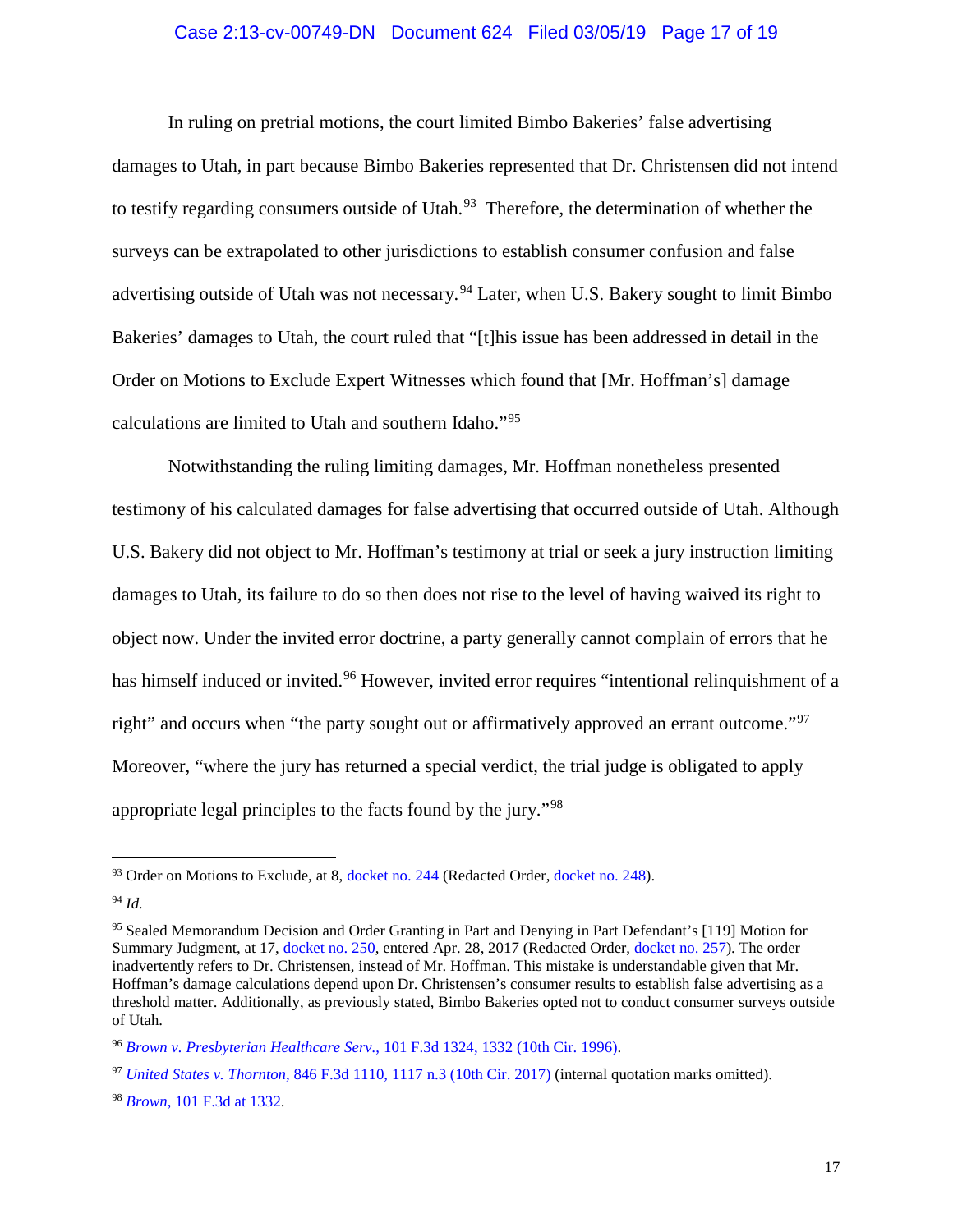#### Case 2:13-cv-00749-DN Document 624 Filed 03/05/19 Page 17 of 19

In ruling on pretrial motions, the court limited Bimbo Bakeries' false advertising damages to Utah, in part because Bimbo Bakeries represented that Dr. Christensen did not intend to testify regarding consumers outside of Utah.<sup>[93](#page-16-0)</sup> Therefore, the determination of whether the surveys can be extrapolated to other jurisdictions to establish consumer confusion and false advertising outside of Utah was not necessary.<sup>[94](#page-16-1)</sup> Later, when U.S. Bakery sought to limit Bimbo Bakeries' damages to Utah, the court ruled that "[t]his issue has been addressed in detail in the Order on Motions to Exclude Expert Witnesses which found that [Mr. Hoffman's] damage calculations are limited to Utah and southern Idaho."[95](#page-16-2)

Notwithstanding the ruling limiting damages, Mr. Hoffman nonetheless presented testimony of his calculated damages for false advertising that occurred outside of Utah. Although U.S. Bakery did not object to Mr. Hoffman's testimony at trial or seek a jury instruction limiting damages to Utah, its failure to do so then does not rise to the level of having waived its right to object now. Under the invited error doctrine, a party generally cannot complain of errors that he has himself induced or invited.<sup>[96](#page-16-3)</sup> However, invited error requires "intentional relinquishment of a right" and occurs when "the party sought out or affirmatively approved an errant outcome."<sup>[97](#page-16-4)</sup> Moreover, "where the jury has returned a special verdict, the trial judge is obligated to apply appropriate legal principles to the facts found by the jury."[98](#page-16-5)

<span id="page-16-0"></span><sup>&</sup>lt;sup>93</sup> Order on Motions to Exclude, at 8, [docket no. 244](https://ecf.utd.uscourts.gov/doc1/18313903584) (Redacted Order, [docket no. 248\)](https://ecf.utd.uscourts.gov/doc1/18313940545).

<span id="page-16-1"></span><sup>94</sup> *Id.*

<span id="page-16-2"></span><sup>95</sup> Sealed Memorandum Decision and Order Granting in Part and Denying in Part Defendant's [119] Motion for Summary Judgment, at 17, [docket no. 250,](https://ecf.utd.uscourts.gov/doc1/18313956947) entered Apr. 28, 2017 (Redacted Order[, docket no. 257\)](https://ecf.utd.uscourts.gov/doc1/18314035218). The order inadvertently refers to Dr. Christensen, instead of Mr. Hoffman. This mistake is understandable given that Mr. Hoffman's damage calculations depend upon Dr. Christensen's consumer results to establish false advertising as a threshold matter. Additionally, as previously stated, Bimbo Bakeries opted not to conduct consumer surveys outside of Utah.

<span id="page-16-3"></span><sup>96</sup> *[Brown v. Presbyterian Healthcare Serv.](https://www.westlaw.com/Document/Ibf91a4f4940911d9bc61beebb95be672/View/FullText.html?transitionType=Default&contextData=(sc.Default)&VR=3.0&RS=da3.0&fragmentIdentifier=co_pp_sp_506_1332)*, 101 F.3d 1324, 1332 (10th Cir. 1996).

<span id="page-16-4"></span><sup>97</sup> *United States v. Thornton*[, 846 F.3d 1110, 1117 n.3 \(10th Cir. 2017\)](https://www.westlaw.com/Document/Ic48e0060df7f11e6ac07a76176915fee/View/FullText.html?transitionType=Default&contextData=(sc.Default)&VR=3.0&RS=da3.0&fragmentIdentifier=co_pp_sp_506_1117+n.3) (internal quotation marks omitted).

<span id="page-16-5"></span><sup>98</sup> *Brown*[, 101 F.3d at 1332.](https://www.westlaw.com/Document/Ibf91a4f4940911d9bc61beebb95be672/View/FullText.html?transitionType=Default&contextData=(sc.Default)&VR=3.0&RS=da3.0&fragmentIdentifier=co_pp_sp_506_1332)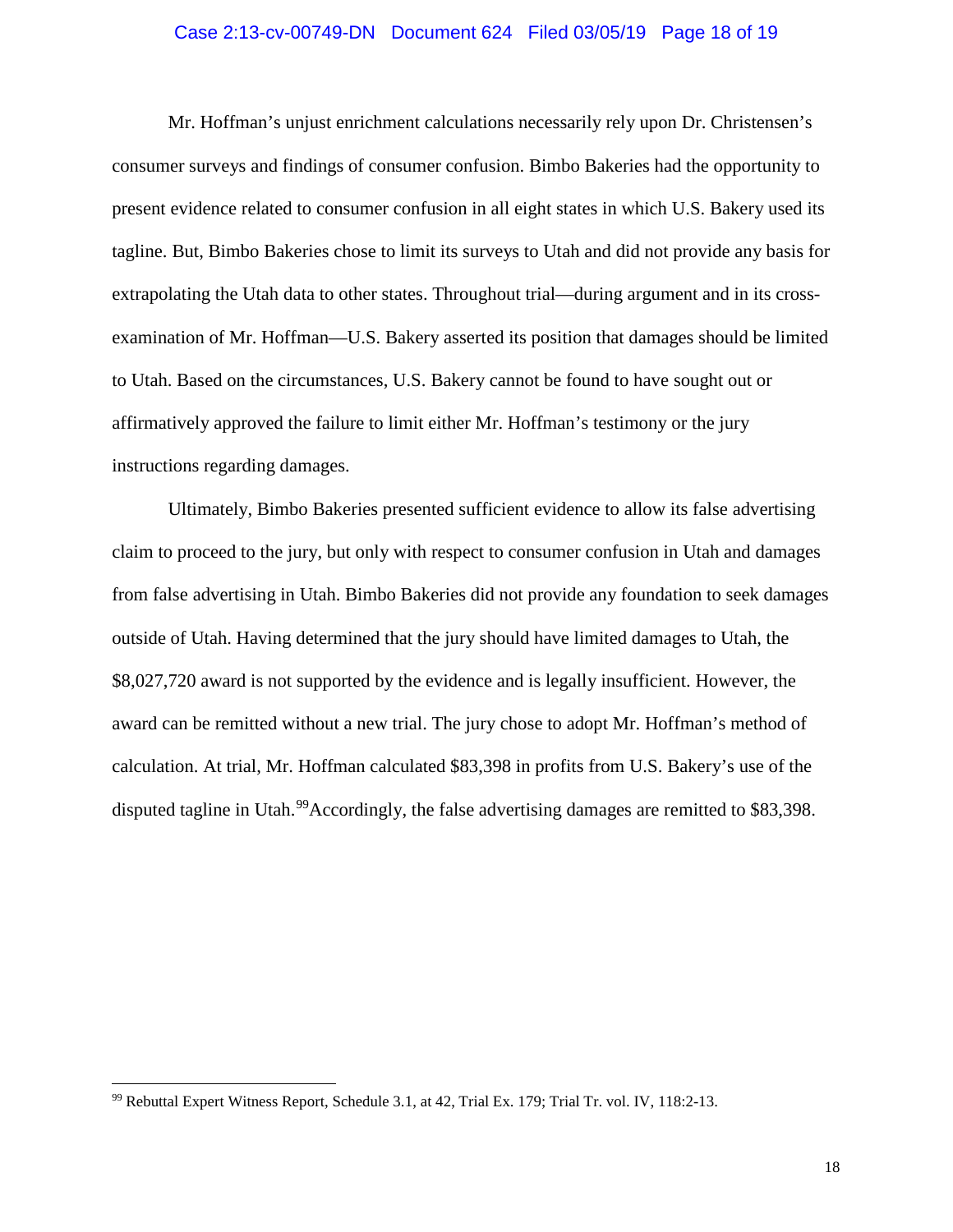#### Case 2:13-cv-00749-DN Document 624 Filed 03/05/19 Page 18 of 19

Mr. Hoffman's unjust enrichment calculations necessarily rely upon Dr. Christensen's consumer surveys and findings of consumer confusion. Bimbo Bakeries had the opportunity to present evidence related to consumer confusion in all eight states in which U.S. Bakery used its tagline. But, Bimbo Bakeries chose to limit its surveys to Utah and did not provide any basis for extrapolating the Utah data to other states. Throughout trial—during argument and in its crossexamination of Mr. Hoffman—U.S. Bakery asserted its position that damages should be limited to Utah. Based on the circumstances, U.S. Bakery cannot be found to have sought out or affirmatively approved the failure to limit either Mr. Hoffman's testimony or the jury instructions regarding damages.

Ultimately, Bimbo Bakeries presented sufficient evidence to allow its false advertising claim to proceed to the jury, but only with respect to consumer confusion in Utah and damages from false advertising in Utah. Bimbo Bakeries did not provide any foundation to seek damages outside of Utah. Having determined that the jury should have limited damages to Utah, the \$8,027,720 award is not supported by the evidence and is legally insufficient. However, the award can be remitted without a new trial. The jury chose to adopt Mr. Hoffman's method of calculation. At trial, Mr. Hoffman calculated \$83,398 in profits from U.S. Bakery's use of the disputed tagline in Utah.<sup>99</sup>Accordingly, the false advertising damages are remitted to \$83,398.

<span id="page-17-0"></span> <sup>99</sup> Rebuttal Expert Witness Report, Schedule 3.1, at 42, Trial Ex. 179; Trial Tr. vol. IV, 118:2-13.